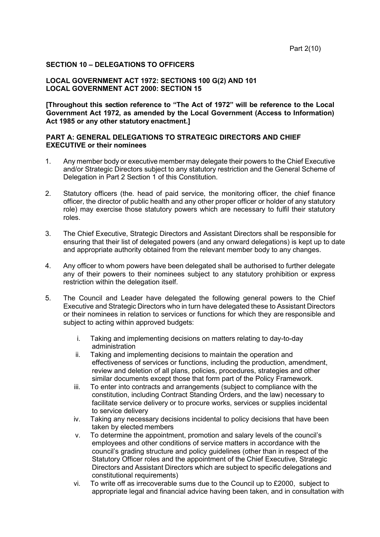#### **SECTION 10 – DELEGATIONS TO OFFICERS**

#### **LOCAL GOVERNMENT ACT 1972: SECTIONS 100 G(2) AND 101 LOCAL GOVERNMENT ACT 2000: SECTION 15**

**[Throughout this section reference to "The Act of 1972" will be reference to the Local Government Act 1972, as amended by the Local Government (Access to Information) Act 1985 or any other statutory enactment.]**

#### **PART A: GENERAL DELEGATIONS TO STRATEGIC DIRECTORS AND CHIEF EXECUTIVE or their nominees**

- 1. Any member body or executive member may delegate their powers to the Chief Executive and/or Strategic Directors subject to any statutory restriction and the General Scheme of Delegation in Part 2 Section 1 of this Constitution.
- 2. Statutory officers (the. head of paid service, the monitoring officer, the chief finance officer, the director of public health and any other proper officer or holder of any statutory role) may exercise those statutory powers which are necessary to fulfil their statutory roles.
- 3. The Chief Executive, Strategic Directors and Assistant Directors shall be responsible for ensuring that their list of delegated powers (and any onward delegations) is kept up to date and appropriate authority obtained from the relevant member body to any changes.
- 4. Any officer to whom powers have been delegated shall be authorised to further delegate any of their powers to their nominees subject to any statutory prohibition or express restriction within the delegation itself.
- 5. The Council and Leader have delegated the following general powers to the Chief Executive and Strategic Directors who in turn have delegated these to Assistant Directors or their nominees in relation to services or functions for which they are responsible and subject to acting within approved budgets:
	- i. Taking and implementing decisions on matters relating to day-to-day administration
	- ii. Taking and implementing decisions to maintain the operation and effectiveness of services or functions, including the production, amendment, review and deletion of all plans, policies, procedures, strategies and other similar documents except those that form part of the Policy Framework.
	- iii. To enter into contracts and arrangements (subject to compliance with the constitution, including Contract Standing Orders, and the law) necessary to facilitate service delivery or to procure works, services or supplies incidental to service delivery
	- iv. Taking any necessary decisions incidental to policy decisions that have been taken by elected members
	- v. To determine the appointment, promotion and salary levels of the council's employees and other conditions of service matters in accordance with the council's grading structure and policy guidelines (other than in respect of the Statutory Officer roles and the appointment of the Chief Executive, Strategic Directors and Assistant Directors which are subject to specific delegations and constitutional requirements)
	- vi. To write off as irrecoverable sums due to the Council up to £2000, subject to appropriate legal and financial advice having been taken, and in consultation with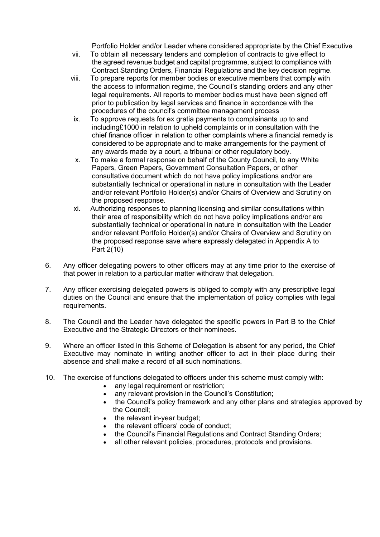Portfolio Holder and/or Leader where considered appropriate by the Chief Executive

- vii. To obtain all necessary tenders and completion of contracts to give effect to the agreed revenue budget and capital programme, subject to compliance with Contract Standing Orders, Financial Regulations and the key decision regime.
- viii. To prepare reports for member bodies or executive members that comply with the access to information regime, the Council's standing orders and any other legal requirements. All reports to member bodies must have been signed off prior to publication by legal services and finance in accordance with the procedures of the council's committee management process
- ix. To approve requests for ex gratia payments to complainants up to and including£1000 in relation to upheld complaints or in consultation with the chief finance officer in relation to other complaints where a financial remedy is considered to be appropriate and to make arrangements for the payment of any awards made by a court, a tribunal or other regulatory body.
- x. To make a formal response on behalf of the County Council, to any White Papers, Green Papers, Government Consultation Papers, or other consultative document which do not have policy implications and/or are substantially technical or operational in nature in consultation with the Leader and/or relevant Portfolio Holder(s) and/or Chairs of Overview and Scrutiny on the proposed response.
- xi. Authorizing responses to planning licensing and similar consultations within their area of responsibility which do not have policy implications and/or are substantially technical or operational in nature in consultation with the Leader and/or relevant Portfolio Holder(s) and/or Chairs of Overview and Scrutiny on the proposed response save where expressly delegated in Appendix A to Part 2(10)
- 6. Any officer delegating powers to other officers may at any time prior to the exercise of that power in relation to a particular matter withdraw that delegation.
- 7. Any officer exercising delegated powers is obliged to comply with any prescriptive legal duties on the Council and ensure that the implementation of policy complies with legal requirements.
- 8. The Council and the Leader have delegated the specific powers in Part B to the Chief Executive and the Strategic Directors or their nominees.
- 9. Where an officer listed in this Scheme of Delegation is absent for any period, the Chief Executive may nominate in writing another officer to act in their place during their absence and shall make a record of all such nominations.
- 10. The exercise of functions delegated to officers under this scheme must comply with:
	- any legal requirement or restriction;
	- any relevant provision in the Council's Constitution;
	- the Council's policy framework and any other plans and strategies approved by the Council;
	- the relevant in-year budget;
	- the relevant officers' code of conduct;
	- the Council's Financial Regulations and Contract Standing Orders;
	- all other relevant policies, procedures, protocols and provisions.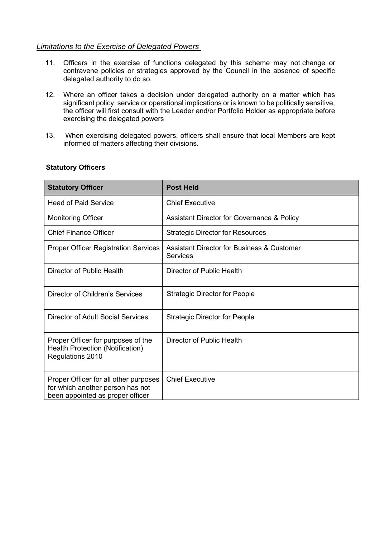#### *Limitations to the Exercise of Delegated Powers*

- 11. Officers in the exercise of functions delegated by this scheme may not change or contravene policies or strategies approved by the Council in the absence of specific delegated authority to do so.
- 12. Where an officer takes a decision under delegated authority on a matter which has significant policy, service or operational implications or is known to be politically sensitive, the officer will first consult with the Leader and/or Portfolio Holder as appropriate before exercising the delegated powers
- 13. When exercising delegated powers, officers shall ensure that local Members are kept informed of matters affecting their divisions.

| <b>Statutory Officer</b>                                                                                      | <b>Post Held</b>                                                  |
|---------------------------------------------------------------------------------------------------------------|-------------------------------------------------------------------|
| <b>Head of Paid Service</b>                                                                                   | <b>Chief Executive</b>                                            |
| <b>Monitoring Officer</b>                                                                                     | Assistant Director for Governance & Policy                        |
| <b>Chief Finance Officer</b>                                                                                  | <b>Strategic Director for Resources</b>                           |
| <b>Proper Officer Registration Services</b>                                                                   | <b>Assistant Director for Business &amp; Customer</b><br>Services |
| Director of Public Health                                                                                     | Director of Public Health                                         |
| Director of Children's Services                                                                               | <b>Strategic Director for People</b>                              |
| Director of Adult Social Services                                                                             | <b>Strategic Director for People</b>                              |
| Proper Officer for purposes of the<br>Health Protection (Notification)<br>Regulations 2010                    | Director of Public Health                                         |
| Proper Officer for all other purposes<br>for which another person has not<br>been appointed as proper officer | <b>Chief Executive</b>                                            |

#### **Statutory Officers**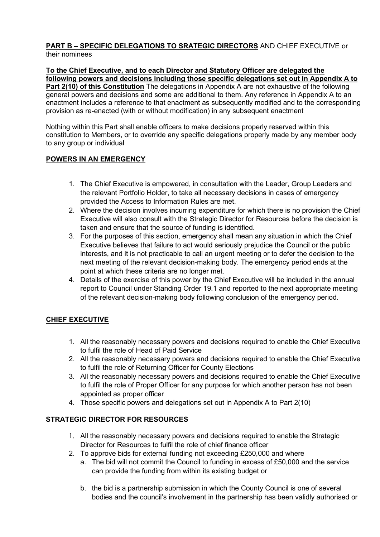#### **PART B – SPECIFIC DELEGATIONS TO SRATEGIC DIRECTORS** AND CHIEF EXECUTIVE or their nominees

# **To the Chief Executive, and to each Director and Statutory Officer are delegated the following powers and decisions including those specific delegations set out in Appendix A to**

**Part 2(10) of this Constitution** The delegations in Appendix A are not exhaustive of the following general powers and decisions and some are additional to them. Any reference in Appendix A to an enactment includes a reference to that enactment as subsequently modified and to the corresponding provision as re-enacted (with or without modification) in any subsequent enactment

Nothing within this Part shall enable officers to make decisions properly reserved within this constitution to Members, or to override any specific delegations properly made by any member body to any group or individual

#### **POWERS IN AN EMERGENCY**

- 1. The Chief Executive is empowered, in consultation with the Leader, Group Leaders and the relevant Portfolio Holder, to take all necessary decisions in cases of emergency provided the Access to Information Rules are met.
- 2. Where the decision involves incurring expenditure for which there is no provision the Chief Executive will also consult with the Strategic Director for Resources before the decision is taken and ensure that the source of funding is identified.
- 3. For the purposes of this section, emergency shall mean any situation in which the Chief Executive believes that failure to act would seriously prejudice the Council or the public interests, and it is not practicable to call an urgent meeting or to defer the decision to the next meeting of the relevant decision-making body. The emergency period ends at the point at which these criteria are no longer met.
- 4. Details of the exercise of this power by the Chief Executive will be included in the annual report to Council under Standing Order 19.1 and reported to the next appropriate meeting of the relevant decision-making body following conclusion of the emergency period.

#### **CHIEF EXECUTIVE**

- 1. All the reasonably necessary powers and decisions required to enable the Chief Executive to fulfil the role of Head of Paid Service
- 2. All the reasonably necessary powers and decisions required to enable the Chief Executive to fulfil the role of Returning Officer for County Elections
- 3. All the reasonably necessary powers and decisions required to enable the Chief Executive to fulfil the role of Proper Officer for any purpose for which another person has not been appointed as proper officer
- 4. Those specific powers and delegations set out in Appendix A to Part 2(10)

#### **STRATEGIC DIRECTOR FOR RESOURCES**

- 1. All the reasonably necessary powers and decisions required to enable the Strategic Director for Resources to fulfil the role of chief finance officer
- 2. To approve bids for external funding not exceeding £250,000 and where
	- a. The bid will not commit the Council to funding in excess of £50,000 and the service can provide the funding from within its existing budget or
	- b. the bid is a partnership submission in which the County Council is one of several bodies and the council's involvement in the partnership has been validly authorised or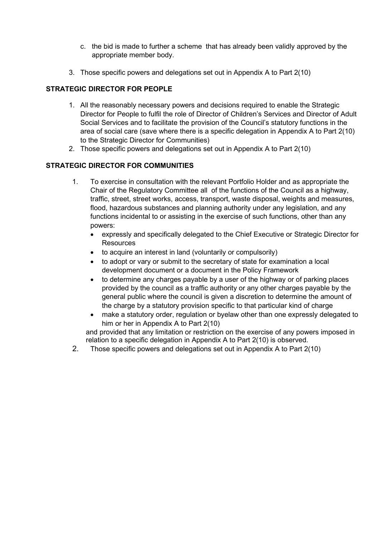- c. the bid is made to further a scheme that has already been validly approved by the appropriate member body.
- 3. Those specific powers and delegations set out in Appendix A to Part 2(10)

### **STRATEGIC DIRECTOR FOR PEOPLE**

- 1. All the reasonably necessary powers and decisions required to enable the Strategic Director for People to fulfil the role of Director of Children's Services and Director of Adult Social Services and to facilitate the provision of the Council's statutory functions in the area of social care (save where there is a specific delegation in Appendix A to Part 2(10) to the Strategic Director for Communities)
- 2. Those specific powers and delegations set out in Appendix A to Part 2(10)

#### **STRATEGIC DIRECTOR FOR COMMUNITIES**

- 1. To exercise in consultation with the relevant Portfolio Holder and as appropriate the Chair of the Regulatory Committee all of the functions of the Council as a highway, traffic, street, street works, access, transport, waste disposal, weights and measures, flood, hazardous substances and planning authority under any legislation, and any functions incidental to or assisting in the exercise of such functions, other than any powers:
	- expressly and specifically delegated to the Chief Executive or Strategic Director for **Resources**
	- to acquire an interest in land (voluntarily or compulsorily)
	- to adopt or vary or submit to the secretary of state for examination a local development document or a document in the Policy Framework
	- to determine any charges payable by a user of the highway or of parking places provided by the council as a traffic authority or any other charges payable by the general public where the council is given a discretion to determine the amount of the charge by a statutory provision specific to that particular kind of charge
	- make a statutory order, regulation or byelaw other than one expressly delegated to him or her in Appendix A to Part 2(10)

and provided that any limitation or restriction on the exercise of any powers imposed in relation to a specific delegation in Appendix A to Part 2(10) is observed.

2. Those specific powers and delegations set out in Appendix A to Part 2(10)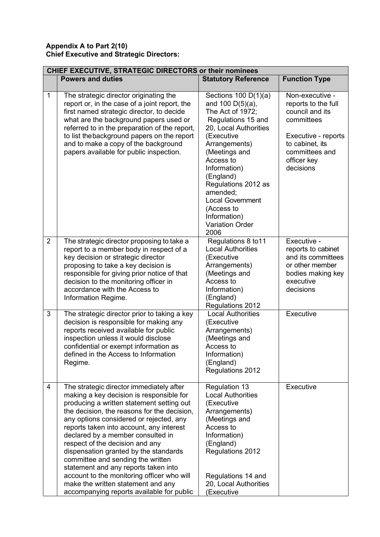#### **Appendix A to Part 2(10) Chief Executive and Strategic Directors:**

|                | CHIEF EXECUTIVE, STRATEGIC DIRECTORS or their nominees                                                                                                                                                                                                                                                                                                                                                                                                                                                                                                                                                 |                                                                                                                                                                                                                                                                                                                                          |                                                                                                                                                                 |  |
|----------------|--------------------------------------------------------------------------------------------------------------------------------------------------------------------------------------------------------------------------------------------------------------------------------------------------------------------------------------------------------------------------------------------------------------------------------------------------------------------------------------------------------------------------------------------------------------------------------------------------------|------------------------------------------------------------------------------------------------------------------------------------------------------------------------------------------------------------------------------------------------------------------------------------------------------------------------------------------|-----------------------------------------------------------------------------------------------------------------------------------------------------------------|--|
|                | <b>Powers and duties</b>                                                                                                                                                                                                                                                                                                                                                                                                                                                                                                                                                                               | <b>Statutory Reference</b>                                                                                                                                                                                                                                                                                                               | <b>Function Type</b>                                                                                                                                            |  |
| 1              | The strategic director originating the<br>report or, in the case of a joint report, the<br>first named strategic director, to decide<br>what are the background papers used or<br>referred to in the preparation of the report,<br>to list the background papers on the report<br>and to make a copy of the background<br>papers available for public inspection.                                                                                                                                                                                                                                      | Sections $100 D(1)(a)$<br>and $100 D(5)(a)$ ,<br>The Act of 1972;<br>Regulations 15 and<br>20, Local Authorities<br>(Executive<br>Arrangements)<br>(Meetings and<br>Access to<br>Information)<br>(England)<br>Regulations 2012 as<br>amended;<br><b>Local Government</b><br>(Access to<br>Information)<br><b>Variation Order</b><br>2006 | Non-executive -<br>reports to the full<br>council and its<br>committees<br>Executive - reports<br>to cabinet, its<br>committees and<br>officer key<br>decisions |  |
| $\overline{2}$ | The strategic director proposing to take a<br>report to a member body in respect of a<br>key decision or strategic director<br>proposing to take a key decision is<br>responsible for giving prior notice of that<br>decision to the monitoring officer in<br>accordance with the Access to<br>Information Regime.                                                                                                                                                                                                                                                                                     | Regulations 8 to 11<br><b>Local Authorities</b><br>(Executive<br>Arrangements)<br>(Meetings and<br>Access to<br>Information)<br>(England)<br>Regulations 2012                                                                                                                                                                            | Executive -<br>reports to cabinet<br>and its committees<br>or other member<br>bodies making key<br>executive<br>decisions                                       |  |
| 3              | The strategic director prior to taking a key<br>decision is responsible for making any<br>reports received available for public<br>inspection unless it would disclose<br>confidential or exempt information as<br>defined in the Access to Information<br>Regime.                                                                                                                                                                                                                                                                                                                                     | <b>Local Authorities</b><br>(Executive<br>Arrangements)<br>(Meetings and<br>Access to<br>Information)<br>(England)<br>Regulations 2012                                                                                                                                                                                                   | Executive                                                                                                                                                       |  |
| 4              | The strategic director immediately after<br>making a key decision is responsible for<br>producing a written statement setting out<br>the decision, the reasons for the decision,<br>any options considered or rejected, any<br>reports taken into account, any interest<br>declared by a member consulted in<br>respect of the decision and any<br>dispensation granted by the standards<br>committee and sending the written<br>statement and any reports taken into<br>account to the monitoring officer who will<br>make the written statement and any<br>accompanying reports available for public | Regulation 13<br><b>Local Authorities</b><br>(Executive<br>Arrangements)<br>(Meetings and<br>Access to<br>Information)<br>(England)<br>Regulations 2012<br>Regulations 14 and<br>20, Local Authorities<br>(Executive                                                                                                                     | Executive                                                                                                                                                       |  |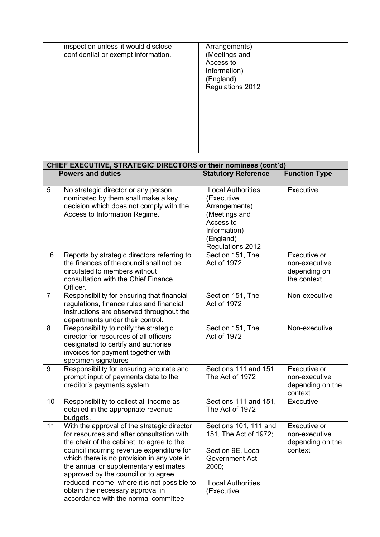| inspection unless it would disclose<br>confidential or exempt information. | Arrangements)<br>(Meetings and<br>Access to<br>Information)<br>(England)<br>Regulations 2012 |  |
|----------------------------------------------------------------------------|----------------------------------------------------------------------------------------------|--|
|                                                                            |                                                                                              |  |

|                | CHIEF EXECUTIVE, STRATEGIC DIRECTORS or their nominees (cont'd)                                                                                                                                                                                                                                                                                                                                                                             |                                                                                                                                                 |                                                              |  |
|----------------|---------------------------------------------------------------------------------------------------------------------------------------------------------------------------------------------------------------------------------------------------------------------------------------------------------------------------------------------------------------------------------------------------------------------------------------------|-------------------------------------------------------------------------------------------------------------------------------------------------|--------------------------------------------------------------|--|
|                | <b>Powers and duties</b>                                                                                                                                                                                                                                                                                                                                                                                                                    | <b>Statutory Reference</b>                                                                                                                      | <b>Function Type</b>                                         |  |
| 5              | No strategic director or any person<br>nominated by them shall make a key<br>decision which does not comply with the<br>Access to Information Regime.                                                                                                                                                                                                                                                                                       | <b>Local Authorities</b><br>(Executive<br>Arrangements)<br>(Meetings and<br>Access to<br>Information)<br>(England)<br>Regulations 2012          | Executive                                                    |  |
| 6              | Reports by strategic directors referring to<br>the finances of the council shall not be<br>circulated to members without<br>consultation with the Chief Finance<br>Officer.                                                                                                                                                                                                                                                                 | Section 151, The<br>Act of 1972                                                                                                                 | Executive or<br>non-executive<br>depending on<br>the context |  |
| $\overline{7}$ | Responsibility for ensuring that financial<br>regulations, finance rules and financial<br>instructions are observed throughout the<br>departments under their control.                                                                                                                                                                                                                                                                      | Section 151, The<br>Act of 1972                                                                                                                 | Non-executive                                                |  |
| 8              | Responsibility to notify the strategic<br>director for resources of all officers<br>designated to certify and authorise<br>invoices for payment together with<br>specimen signatures                                                                                                                                                                                                                                                        | Section 151, The<br>Act of 1972                                                                                                                 | Non-executive                                                |  |
| 9              | Responsibility for ensuring accurate and<br>prompt input of payments data to the<br>creditor's payments system.                                                                                                                                                                                                                                                                                                                             | Sections 111 and 151,<br>The Act of 1972                                                                                                        | Executive or<br>non-executive<br>depending on the<br>context |  |
| 10             | Responsibility to collect all income as<br>detailed in the appropriate revenue<br>budgets.                                                                                                                                                                                                                                                                                                                                                  | Sections 111 and 151,<br>The Act of 1972                                                                                                        | Executive                                                    |  |
| 11             | With the approval of the strategic director<br>for resources and after consultation with<br>the chair of the cabinet, to agree to the<br>council incurring revenue expenditure for<br>which there is no provision in any vote in<br>the annual or supplementary estimates<br>approved by the council or to agree<br>reduced income, where it is not possible to<br>obtain the necessary approval in<br>accordance with the normal committee | Sections 101, 111 and<br>151, The Act of 1972;<br>Section 9E, Local<br><b>Government Act</b><br>2000;<br><b>Local Authorities</b><br>(Executive | Executive or<br>non-executive<br>depending on the<br>context |  |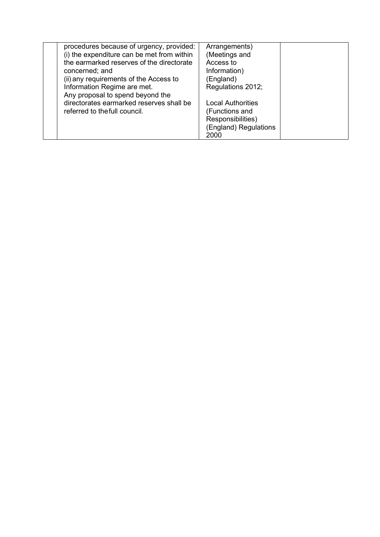| procedures because of urgency, provided:   | Arrangements)            |  |
|--------------------------------------------|--------------------------|--|
| (i) the expenditure can be met from within | (Meetings and            |  |
| the earmarked reserves of the directorate  | Access to                |  |
| concerned; and                             | Information)             |  |
| (ii) any requirements of the Access to     | (England)                |  |
| Information Regime are met.                | Regulations 2012;        |  |
| Any proposal to spend beyond the           |                          |  |
| directorates earmarked reserves shall be   | <b>Local Authorities</b> |  |
| referred to the full council.              | (Functions and           |  |
|                                            | Responsibilities)        |  |
|                                            | (England) Regulations    |  |
|                                            | 2000                     |  |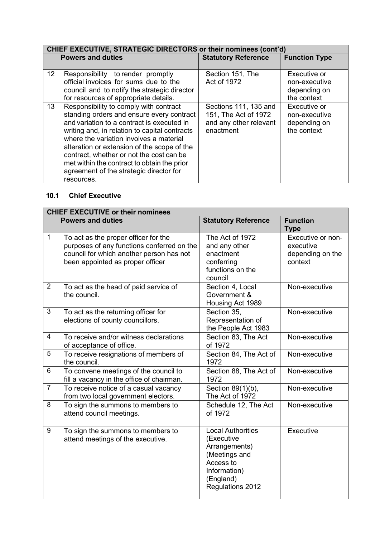|                 | CHIEF EXECUTIVE, STRATEGIC DIRECTORS or their nominees (cont'd)                                                                                                                                                                                                                                                                                                                                                                  |                                                                                      |                                                              |
|-----------------|----------------------------------------------------------------------------------------------------------------------------------------------------------------------------------------------------------------------------------------------------------------------------------------------------------------------------------------------------------------------------------------------------------------------------------|--------------------------------------------------------------------------------------|--------------------------------------------------------------|
|                 | <b>Powers and duties</b>                                                                                                                                                                                                                                                                                                                                                                                                         | <b>Statutory Reference</b>                                                           | <b>Function Type</b>                                         |
|                 |                                                                                                                                                                                                                                                                                                                                                                                                                                  |                                                                                      |                                                              |
| 12 <sup>°</sup> | Responsibility to render promptly                                                                                                                                                                                                                                                                                                                                                                                                | Section 151, The                                                                     | Executive or                                                 |
|                 | official invoices for sums due to the                                                                                                                                                                                                                                                                                                                                                                                            | Act of 1972                                                                          | non-executive                                                |
|                 | council and to notify the strategic director                                                                                                                                                                                                                                                                                                                                                                                     |                                                                                      | depending on                                                 |
|                 | for resources of appropriate details.                                                                                                                                                                                                                                                                                                                                                                                            |                                                                                      | the context                                                  |
| 13              | Responsibility to comply with contract<br>standing orders and ensure every contract<br>and variation to a contract is executed in<br>writing and, in relation to capital contracts<br>where the variation involves a material<br>alteration or extension of the scope of the<br>contract, whether or not the cost can be<br>met within the contract to obtain the prior<br>agreement of the strategic director for<br>resources. | Sections 111, 135 and<br>151, The Act of 1972<br>and any other relevant<br>enactment | Executive or<br>non-executive<br>depending on<br>the context |

### **10.1 Chief Executive**

|                | <b>CHIEF EXECUTIVE or their nominees</b>                                                                                                                           |                                                                                                                                        |                                                               |  |
|----------------|--------------------------------------------------------------------------------------------------------------------------------------------------------------------|----------------------------------------------------------------------------------------------------------------------------------------|---------------------------------------------------------------|--|
|                | <b>Powers and duties</b>                                                                                                                                           | <b>Statutory Reference</b>                                                                                                             | <b>Function</b><br><b>Type</b>                                |  |
| $\mathbf{1}$   | To act as the proper officer for the<br>purposes of any functions conferred on the<br>council for which another person has not<br>been appointed as proper officer | The Act of 1972<br>and any other<br>enactment<br>conferring<br>functions on the<br>council                                             | Executive or non-<br>executive<br>depending on the<br>context |  |
| $\overline{2}$ | To act as the head of paid service of<br>the council.                                                                                                              | Section 4, Local<br>Government &<br>Housing Act 1989                                                                                   | Non-executive                                                 |  |
| 3              | To act as the returning officer for<br>elections of county councillors.                                                                                            | Section 35,<br>Representation of<br>the People Act 1983                                                                                | Non-executive                                                 |  |
| $\overline{4}$ | To receive and/or witness declarations<br>of acceptance of office.                                                                                                 | Section 83, The Act<br>of 1972                                                                                                         | Non-executive                                                 |  |
| 5              | To receive resignations of members of<br>the council.                                                                                                              | Section 84, The Act of<br>1972                                                                                                         | Non-executive                                                 |  |
| 6              | To convene meetings of the council to<br>fill a vacancy in the office of chairman.                                                                                 | Section 88, The Act of<br>1972                                                                                                         | Non-executive                                                 |  |
| $\overline{7}$ | To receive notice of a casual vacancy<br>from two local government electors.                                                                                       | Section 89(1)(b),<br>The Act of 1972                                                                                                   | Non-executive                                                 |  |
| 8              | To sign the summons to members to<br>attend council meetings.                                                                                                      | Schedule 12, The Act<br>of 1972                                                                                                        | Non-executive                                                 |  |
| 9              | To sign the summons to members to<br>attend meetings of the executive.                                                                                             | <b>Local Authorities</b><br>(Executive<br>Arrangements)<br>(Meetings and<br>Access to<br>Information)<br>(England)<br>Regulations 2012 | Executive                                                     |  |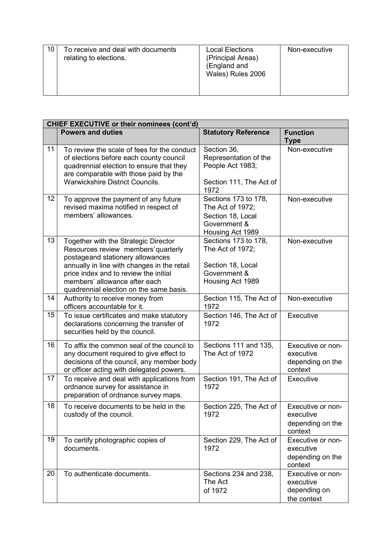| 10 | To receive and deal with documents<br>relating to elections. | <b>Local Elections</b><br>(Principal Areas)<br>(England and<br>Wales) Rules 2006 | Non-executive |
|----|--------------------------------------------------------------|----------------------------------------------------------------------------------|---------------|
|----|--------------------------------------------------------------|----------------------------------------------------------------------------------|---------------|

|    | <b>CHIEF EXECUTIVE or their nominees (cont'd)</b>                                                                                                                                                                                                                                   |                                                                                                   |                                                               |  |
|----|-------------------------------------------------------------------------------------------------------------------------------------------------------------------------------------------------------------------------------------------------------------------------------------|---------------------------------------------------------------------------------------------------|---------------------------------------------------------------|--|
|    | <b>Powers and duties</b>                                                                                                                                                                                                                                                            | <b>Statutory Reference</b>                                                                        | <b>Function</b><br><b>Type</b>                                |  |
| 11 | To review the scale of fees for the conduct<br>of elections before each county council<br>quadrennial election to ensure that they<br>are comparable with those paid by the<br><b>Warwickshire District Councils.</b>                                                               | Section 36,<br>Representation of the<br>People Act 1983;<br>Section 111, The Act of<br>1972       | Non-executive                                                 |  |
| 12 | To approve the payment of any future<br>revised maxima notified in respect of<br>members' allowances.                                                                                                                                                                               | Sections 173 to 178,<br>The Act of 1972;<br>Section 18, Local<br>Government &<br>Housing Act 1989 | Non-executive                                                 |  |
| 13 | Together with the Strategic Director<br>Resources review members' quarterly<br>postageand stationery allowances<br>annually in line with changes in the retail<br>price index and to review the initial<br>members' allowance after each<br>quadrennial election on the same basis. | Sections 173 to 178,<br>The Act of 1972;<br>Section 18, Local<br>Government &<br>Housing Act 1989 | Non-executive                                                 |  |
| 14 | Authority to receive money from<br>officers accountable for it.                                                                                                                                                                                                                     | Section 115, The Act of<br>1972                                                                   | Non-executive                                                 |  |
| 15 | To issue certificates and make statutory<br>declarations concerning the transfer of<br>securities held by the council.                                                                                                                                                              | Section 146, The Act of<br>1972                                                                   | Executive                                                     |  |
| 16 | To affix the common seal of the council to<br>any document required to give effect to<br>decisions of the council, any member body<br>or officer acting with delegated powers.                                                                                                      | Sections 111 and 135,<br>The Act of 1972                                                          | Executive or non-<br>executive<br>depending on the<br>context |  |
| 17 | To receive and deal with applications from<br>ordnance survey for assistance in<br>preparation of ordnance survey maps.                                                                                                                                                             | Section 191, The Act of<br>1972                                                                   | Executive                                                     |  |
| 18 | To receive documents to be held in the<br>custody of the council.                                                                                                                                                                                                                   | Section 225, The Act of<br>1972                                                                   | Executive or non-<br>executive<br>depending on the<br>context |  |
| 19 | To certify photographic copies of<br>documents.                                                                                                                                                                                                                                     | Section 229, The Act of<br>1972                                                                   | Executive or non-<br>executive<br>depending on the<br>context |  |
| 20 | To authenticate documents.                                                                                                                                                                                                                                                          | Sections 234 and 238,<br>The Act<br>of 1972                                                       | Executive or non-<br>executive<br>depending on<br>the context |  |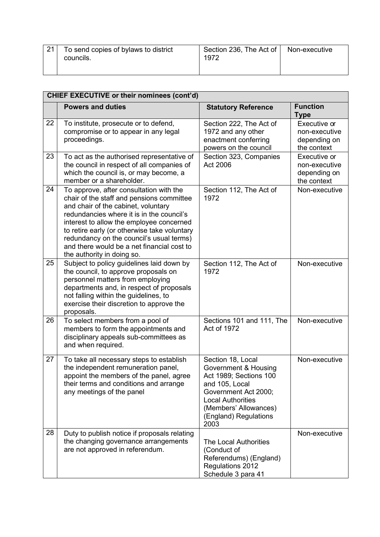| 21 | To send copies of bylaws to district<br>councils. | Section 236, The Act of   Non-executive<br>1972 |  |
|----|---------------------------------------------------|-------------------------------------------------|--|
|    |                                                   |                                                 |  |

|    | CHIEF EXECUTIVE or their nominees (cont'd)                                                                                                                                                                                                                                                                                                                                                   |                                                                                                                                                                                                     |                                                              |  |
|----|----------------------------------------------------------------------------------------------------------------------------------------------------------------------------------------------------------------------------------------------------------------------------------------------------------------------------------------------------------------------------------------------|-----------------------------------------------------------------------------------------------------------------------------------------------------------------------------------------------------|--------------------------------------------------------------|--|
|    | <b>Powers and duties</b>                                                                                                                                                                                                                                                                                                                                                                     | <b>Statutory Reference</b>                                                                                                                                                                          | <b>Function</b><br><b>Type</b>                               |  |
| 22 | To institute, prosecute or to defend,<br>compromise or to appear in any legal<br>proceedings.                                                                                                                                                                                                                                                                                                | Section 222, The Act of<br>1972 and any other<br>enactment conferring<br>powers on the council                                                                                                      | Executive or<br>non-executive<br>depending on<br>the context |  |
| 23 | To act as the authorised representative of<br>the council in respect of all companies of<br>which the council is, or may become, a<br>member or a shareholder.                                                                                                                                                                                                                               | Section 323, Companies<br>Act 2006                                                                                                                                                                  | Executive or<br>non-executive<br>depending on<br>the context |  |
| 24 | To approve, after consultation with the<br>chair of the staff and pensions committee<br>and chair of the cabinet, voluntary<br>redundancies where it is in the council's<br>interest to allow the employee concerned<br>to retire early (or otherwise take voluntary<br>redundancy on the council's usual terms)<br>and there would be a net financial cost to<br>the authority in doing so. | Section 112, The Act of<br>1972                                                                                                                                                                     | Non-executive                                                |  |
| 25 | Subject to policy guidelines laid down by<br>the council, to approve proposals on<br>personnel matters from employing<br>departments and, in respect of proposals<br>not falling within the guidelines, to<br>exercise their discretion to approve the<br>proposals.                                                                                                                         | Section 112, The Act of<br>1972                                                                                                                                                                     | Non-executive                                                |  |
| 26 | To select members from a pool of<br>members to form the appointments and<br>disciplinary appeals sub-committees as<br>and when required.                                                                                                                                                                                                                                                     | Sections 101 and 111, The<br>Act of 1972                                                                                                                                                            | Non-executive                                                |  |
| 27 | To take all necessary steps to establish<br>the independent remuneration panel,<br>appoint the members of the panel, agree<br>their terms and conditions and arrange<br>any meetings of the panel                                                                                                                                                                                            | Section 18, Local<br>Government & Housing<br>Act 1989; Sections 100<br>and 105, Local<br>Government Act 2000;<br><b>Local Authorities</b><br>(Members' Allowances)<br>(England) Regulations<br>2003 | Non-executive                                                |  |
| 28 | Duty to publish notice if proposals relating<br>the changing governance arrangements<br>are not approved in referendum.                                                                                                                                                                                                                                                                      | The Local Authorities<br>(Conduct of<br>Referendums) (England)<br>Regulations 2012<br>Schedule 3 para 41                                                                                            | Non-executive                                                |  |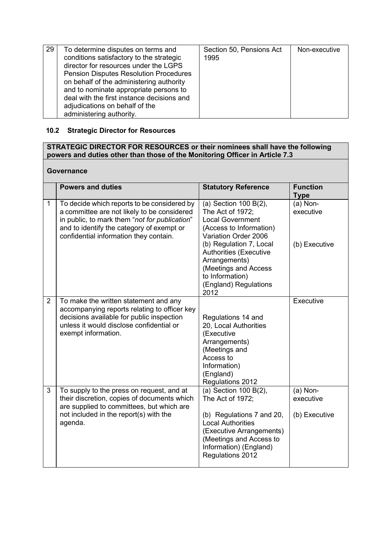| 29 | To determine disputes on terms and<br>conditions satisfactory to the strategic<br>director for resources under the LGPS<br><b>Pension Disputes Resolution Procedures</b><br>on behalf of the administering authority<br>and to nominate appropriate persons to<br>deal with the first instance decisions and<br>adjudications on behalf of the<br>administering authority. | Section 50, Pensions Act<br>1995 | Non-executive |
|----|----------------------------------------------------------------------------------------------------------------------------------------------------------------------------------------------------------------------------------------------------------------------------------------------------------------------------------------------------------------------------|----------------------------------|---------------|
|----|----------------------------------------------------------------------------------------------------------------------------------------------------------------------------------------------------------------------------------------------------------------------------------------------------------------------------------------------------------------------------|----------------------------------|---------------|

#### **10.2 Strategic Director for Resources**

#### **STRATEGIC DIRECTOR FOR RESOURCES or their nominees shall have the following powers and duties other than those of the Monitoring Officer in Article 7.3**

#### **Governance**

|                | <b>Powers and duties</b>                                                                                                                                                                                                           | <b>Statutory Reference</b>                                                                                                                                                                                                   | <b>Function</b><br><b>Type</b>           |
|----------------|------------------------------------------------------------------------------------------------------------------------------------------------------------------------------------------------------------------------------------|------------------------------------------------------------------------------------------------------------------------------------------------------------------------------------------------------------------------------|------------------------------------------|
| $\mathbf{1}$   | To decide which reports to be considered by<br>a committee are not likely to be considered<br>in public, to mark them "not for publication"<br>and to identify the category of exempt or<br>confidential information they contain. | (a) Section 100 B(2),<br>The Act of 1972;<br><b>Local Government</b><br>(Access to Information)<br>Variation Order 2006<br>(b) Regulation 7, Local<br><b>Authorities (Executive</b><br>Arrangements)<br>(Meetings and Access | $(a)$ Non-<br>executive<br>(b) Executive |
|                |                                                                                                                                                                                                                                    | to Information)<br>(England) Regulations<br>2012                                                                                                                                                                             |                                          |
| $\overline{2}$ | To make the written statement and any<br>accompanying reports relating to officer key<br>decisions available for public inspection<br>unless it would disclose confidential or<br>exempt information.                              | Regulations 14 and<br>20, Local Authorities<br>(Executive<br>Arrangements)<br>(Meetings and<br>Access to<br>Information)<br>(England)<br>Regulations 2012                                                                    | Executive                                |
| 3              | To supply to the press on request, and at<br>their discretion, copies of documents which<br>are supplied to committees, but which are<br>not included in the report(s) with the<br>agenda.                                         | (a) Section 100 B(2),<br>The Act of 1972;<br>(b) Regulations 7 and 20,<br><b>Local Authorities</b><br>(Executive Arrangements)<br>(Meetings and Access to<br>Information) (England)<br>Regulations 2012                      | $(a)$ Non-<br>executive<br>(b) Executive |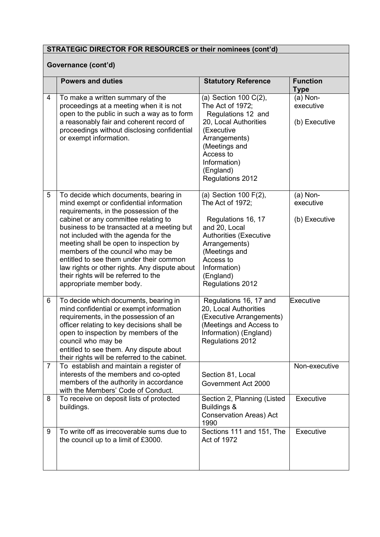### **Governance (cont'd)**

|                | <b>Powers and duties</b>                                                                                                                                                                                                                                                                                                                                                                                                                                                                                | <b>Statutory Reference</b>                                                                                                                                                                                        | <b>Function</b><br><b>Type</b>           |  |
|----------------|---------------------------------------------------------------------------------------------------------------------------------------------------------------------------------------------------------------------------------------------------------------------------------------------------------------------------------------------------------------------------------------------------------------------------------------------------------------------------------------------------------|-------------------------------------------------------------------------------------------------------------------------------------------------------------------------------------------------------------------|------------------------------------------|--|
| 4              | To make a written summary of the<br>proceedings at a meeting when it is not<br>open to the public in such a way as to form<br>a reasonably fair and coherent record of<br>proceedings without disclosing confidential<br>or exempt information.                                                                                                                                                                                                                                                         | (a) Section 100 C(2),<br>The Act of 1972;<br>Regulations 12 and<br>20, Local Authorities<br>(Executive<br>Arrangements)<br>(Meetings and<br>Access to<br>Information)<br>(England)<br>Regulations 2012            | $(a)$ Non-<br>executive<br>(b) Executive |  |
| 5              | To decide which documents, bearing in<br>mind exempt or confidential information<br>requirements, in the possession of the<br>cabinet or any committee relating to<br>business to be transacted at a meeting but<br>not included with the agenda for the<br>meeting shall be open to inspection by<br>members of the council who may be<br>entitled to see them under their common<br>law rights or other rights. Any dispute about<br>their rights will be referred to the<br>appropriate member body. | (a) Section 100 F(2),<br>The Act of 1972;<br>Regulations 16, 17<br>and 20, Local<br><b>Authorities (Executive</b><br>Arrangements)<br>(Meetings and<br>Access to<br>Information)<br>(England)<br>Regulations 2012 | $(a)$ Non-<br>executive<br>(b) Executive |  |
| 6              | To decide which documents, bearing in<br>mind confidential or exempt information<br>requirements, in the possession of an<br>officer relating to key decisions shall be<br>open to inspection by members of the<br>council who may be<br>entitled to see them. Any dispute about<br>their rights will be referred to the cabinet.                                                                                                                                                                       | Regulations 16, 17 and<br>20, Local Authorities<br>(Executive Arrangements)<br>(Meetings and Access to<br>Information) (England)<br>Regulations 2012                                                              | Executive                                |  |
| $\overline{7}$ | To establish and maintain a register of<br>interests of the members and co-opted<br>members of the authority in accordance<br>with the Members' Code of Conduct.                                                                                                                                                                                                                                                                                                                                        | Section 81, Local<br>Government Act 2000                                                                                                                                                                          | Non-executive                            |  |
| 8              | To receive on deposit lists of protected<br>buildings.                                                                                                                                                                                                                                                                                                                                                                                                                                                  | Section 2, Planning (Listed<br>Buildings &<br><b>Conservation Areas) Act</b><br>1990                                                                                                                              | Executive                                |  |
| 9              | To write off as irrecoverable sums due to<br>the council up to a limit of £3000.                                                                                                                                                                                                                                                                                                                                                                                                                        | Sections 111 and 151, The<br>Act of 1972                                                                                                                                                                          | Executive                                |  |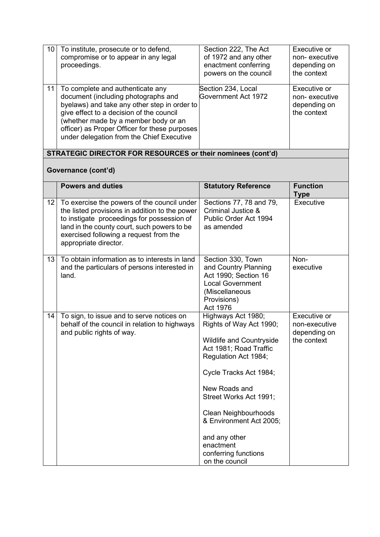| 10              | To institute, prosecute or to defend,<br>compromise or to appear in any legal<br>proceedings.                                                                                                                                                                                                             | Section 222, The Act<br>of 1972 and any other<br>enactment conferring<br>powers on the council                                                                                                                                                                                                                                            | Executive or<br>non-executive<br>depending on<br>the context |
|-----------------|-----------------------------------------------------------------------------------------------------------------------------------------------------------------------------------------------------------------------------------------------------------------------------------------------------------|-------------------------------------------------------------------------------------------------------------------------------------------------------------------------------------------------------------------------------------------------------------------------------------------------------------------------------------------|--------------------------------------------------------------|
| 11              | To complete and authenticate any<br>document (including photographs and<br>byelaws) and take any other step in order to<br>give effect to a decision of the council<br>(whether made by a member body or an<br>officer) as Proper Officer for these purposes<br>under delegation from the Chief Executive | Section 234, Local<br>Government Act 1972                                                                                                                                                                                                                                                                                                 | Executive or<br>non-executive<br>depending on<br>the context |
|                 | STRATEGIC DIRECTOR FOR RESOURCES or their nominees (cont'd)                                                                                                                                                                                                                                               |                                                                                                                                                                                                                                                                                                                                           |                                                              |
|                 | Governance (cont'd)                                                                                                                                                                                                                                                                                       |                                                                                                                                                                                                                                                                                                                                           |                                                              |
|                 | <b>Powers and duties</b>                                                                                                                                                                                                                                                                                  | <b>Statutory Reference</b>                                                                                                                                                                                                                                                                                                                | <b>Function</b><br><b>Type</b>                               |
| 12 <sub>2</sub> | To exercise the powers of the council under<br>the listed provisions in addition to the power<br>to instigate proceedings for possession of<br>land in the county court, such powers to be<br>exercised following a request from the<br>appropriate director.                                             | Sections 77, 78 and 79,<br>Criminal Justice &<br>Public Order Act 1994<br>as amended                                                                                                                                                                                                                                                      | Executive                                                    |
| 13              | To obtain information as to interests in land<br>and the particulars of persons interested in<br>land.                                                                                                                                                                                                    | Section 330, Town<br>and Country Planning<br>Act 1990; Section 16<br><b>Local Government</b><br>(Miscellaneous<br>Provisions)<br>Act 1976                                                                                                                                                                                                 | Non-<br>executive                                            |
| 14              | To sign, to issue and to serve notices on<br>behalf of the council in relation to highways<br>and public rights of way.                                                                                                                                                                                   | Highways Act 1980;<br>Rights of Way Act 1990;<br><b>Wildlife and Countryside</b><br>Act 1981; Road Traffic<br>Regulation Act 1984;<br>Cycle Tracks Act 1984;<br>New Roads and<br>Street Works Act 1991;<br><b>Clean Neighbourhoods</b><br>& Environment Act 2005;<br>and any other<br>enactment<br>conferring functions<br>on the council | Executive or<br>non-executive<br>depending on<br>the context |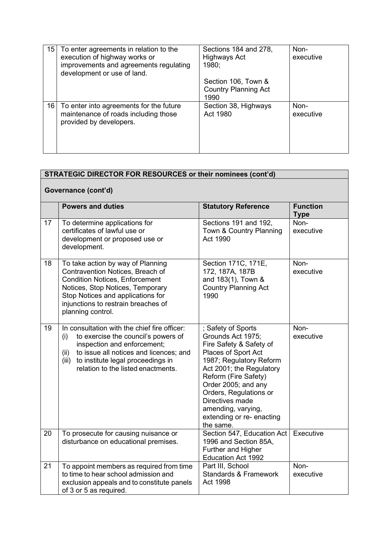| 15 <sup>1</sup> | To enter agreements in relation to the<br>execution of highway works or<br>improvements and agreements regulating<br>development or use of land. | Sections 184 and 278,<br>Highways Act<br>1980;<br>Section 106, Town & | Non-<br>executive |
|-----------------|--------------------------------------------------------------------------------------------------------------------------------------------------|-----------------------------------------------------------------------|-------------------|
|                 |                                                                                                                                                  | <b>Country Planning Act</b>                                           |                   |
|                 |                                                                                                                                                  |                                                                       |                   |
|                 |                                                                                                                                                  | 1990                                                                  |                   |
| 16              | To enter into agreements for the future<br>maintenance of roads including those<br>provided by developers.                                       | Section 38, Highways<br>Act 1980                                      | Non-<br>executive |
|                 |                                                                                                                                                  |                                                                       |                   |

|    | STRATEGIC DIRECTOR FOR RESOURCES or their nominees (cont'd)                                                                                                                                                                                                     |                                                                                                                                                                                                                                                                                                              |                                |  |
|----|-----------------------------------------------------------------------------------------------------------------------------------------------------------------------------------------------------------------------------------------------------------------|--------------------------------------------------------------------------------------------------------------------------------------------------------------------------------------------------------------------------------------------------------------------------------------------------------------|--------------------------------|--|
|    | Governance (cont'd)                                                                                                                                                                                                                                             |                                                                                                                                                                                                                                                                                                              |                                |  |
|    | <b>Powers and duties</b>                                                                                                                                                                                                                                        | <b>Statutory Reference</b>                                                                                                                                                                                                                                                                                   | <b>Function</b><br><b>Type</b> |  |
| 17 | To determine applications for<br>certificates of lawful use or<br>development or proposed use or<br>development.                                                                                                                                                | Sections 191 and 192,<br>Town & Country Planning<br>Act 1990                                                                                                                                                                                                                                                 | Non-<br>executive              |  |
| 18 | To take action by way of Planning<br>Contravention Notices, Breach of<br><b>Condition Notices, Enforcement</b><br>Notices, Stop Notices, Temporary<br>Stop Notices and applications for<br>injunctions to restrain breaches of<br>planning control.             | Section 171C, 171E,<br>172, 187A, 187B<br>and 183(1), Town &<br><b>Country Planning Act</b><br>1990                                                                                                                                                                                                          | Non-<br>executive              |  |
| 19 | In consultation with the chief fire officer:<br>to exercise the council's powers of<br>(i)<br>inspection and enforcement;<br>to issue all notices and licences; and<br>(ii)<br>to institute legal proceedings in<br>(iii)<br>relation to the listed enactments. | ; Safety of Sports<br>Grounds Act 1975;<br>Fire Safety & Safety of<br>Places of Sport Act<br>1987; Regulatory Reform<br>Act 2001; the Regulatory<br>Reform (Fire Safety)<br>Order 2005; and any<br>Orders, Regulations or<br>Directives made<br>amending, varying,<br>extending or re- enacting<br>the same. | Non-<br>executive              |  |
| 20 | To prosecute for causing nuisance or<br>disturbance on educational premises.                                                                                                                                                                                    | Section 547, Education Act<br>1996 and Section 85A,<br>Further and Higher<br><b>Education Act 1992</b>                                                                                                                                                                                                       | Executive                      |  |
| 21 | To appoint members as required from time<br>to time to hear school admission and<br>exclusion appeals and to constitute panels<br>of 3 or 5 as required.                                                                                                        | Part III, School<br><b>Standards &amp; Framework</b><br>Act 1998                                                                                                                                                                                                                                             | Non-<br>executive              |  |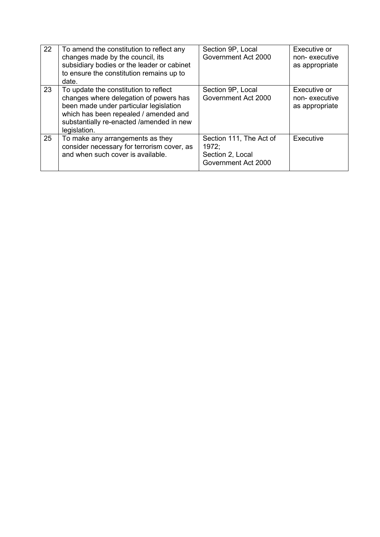| 22 | To amend the constitution to reflect any<br>changes made by the council, its<br>subsidiary bodies or the leader or cabinet<br>to ensure the constitution remains up to<br>date.                                                | Section 9P, Local<br>Government Act 2000                                    | Executive or<br>non-executive<br>as appropriate |
|----|--------------------------------------------------------------------------------------------------------------------------------------------------------------------------------------------------------------------------------|-----------------------------------------------------------------------------|-------------------------------------------------|
| 23 | To update the constitution to reflect<br>changes where delegation of powers has<br>been made under particular legislation<br>which has been repealed / amended and<br>substantially re-enacted /amended in new<br>legislation. | Section 9P, Local<br>Government Act 2000                                    | Executive or<br>non-executive<br>as appropriate |
| 25 | To make any arrangements as they<br>consider necessary for terrorism cover, as<br>and when such cover is available.                                                                                                            | Section 111, The Act of<br>1972:<br>Section 2, Local<br>Government Act 2000 | Executive                                       |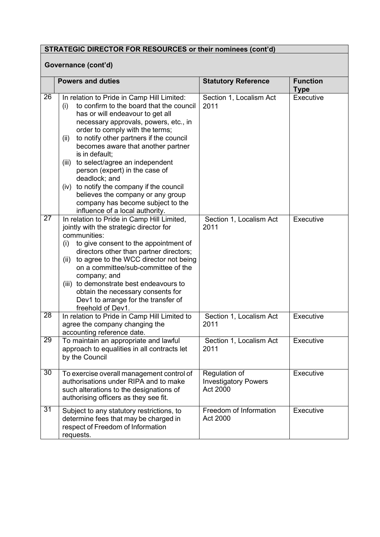# **Governance (cont'd)**

|                 | <b>Powers and duties</b>                                                                                                                                                                                                                                                                                                                                                                                                                                                                                                                                                            | <b>Statutory Reference</b>                               | <b>Function</b><br><b>Type</b> |  |
|-----------------|-------------------------------------------------------------------------------------------------------------------------------------------------------------------------------------------------------------------------------------------------------------------------------------------------------------------------------------------------------------------------------------------------------------------------------------------------------------------------------------------------------------------------------------------------------------------------------------|----------------------------------------------------------|--------------------------------|--|
| 26              | In relation to Pride in Camp Hill Limited:<br>to confirm to the board that the council<br>(i)<br>has or will endeavour to get all<br>necessary approvals, powers, etc., in<br>order to comply with the terms;<br>to notify other partners if the council<br>(ii)<br>becomes aware that another partner<br>is in default:<br>to select/agree an independent<br>(iii)<br>person (expert) in the case of<br>deadlock; and<br>to notify the company if the council<br>(iv)<br>believes the company or any group<br>company has become subject to the<br>influence of a local authority. | Section 1, Localism Act<br>2011                          | Executive                      |  |
| $\overline{27}$ | In relation to Pride in Camp Hill Limited,<br>jointly with the strategic director for<br>communities:<br>to give consent to the appointment of<br>(i)<br>directors other than partner directors;<br>to agree to the WCC director not being<br>(ii)<br>on a committee/sub-committee of the<br>company; and<br>(iii) to demonstrate best endeavours to<br>obtain the necessary consents for<br>Dev1 to arrange for the transfer of<br>freehold of Dev1.                                                                                                                               | Section 1, Localism Act<br>2011                          | Executive                      |  |
| $\overline{28}$ | In relation to Pride in Camp Hill Limited to<br>agree the company changing the<br>accounting reference date.                                                                                                                                                                                                                                                                                                                                                                                                                                                                        | Section 1, Localism Act<br>2011                          | Executive                      |  |
| 29              | To maintain an appropriate and lawful<br>approach to equalities in all contracts let<br>by the Council                                                                                                                                                                                                                                                                                                                                                                                                                                                                              | Section 1, Localism Act<br>2011                          | Executive                      |  |
| 30              | To exercise overall management control of<br>authorisations under RIPA and to make<br>such alterations to the designations of<br>authorising officers as they see fit.                                                                                                                                                                                                                                                                                                                                                                                                              | Regulation of<br><b>Investigatory Powers</b><br>Act 2000 | Executive                      |  |
| 31              | Subject to any statutory restrictions, to<br>determine fees that may be charged in<br>respect of Freedom of Information<br>requests.                                                                                                                                                                                                                                                                                                                                                                                                                                                | Freedom of Information<br>Act 2000                       | Executive                      |  |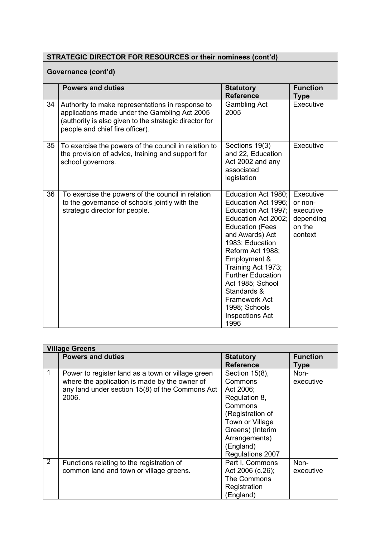|    | <b>STRATEGIC DIRECTOR FOR RESOURCES or their nominees (cont'd)</b>                                                                                                                             |                                                                                                                                                                                                                                                                                                                                                              |                                                                     |  |
|----|------------------------------------------------------------------------------------------------------------------------------------------------------------------------------------------------|--------------------------------------------------------------------------------------------------------------------------------------------------------------------------------------------------------------------------------------------------------------------------------------------------------------------------------------------------------------|---------------------------------------------------------------------|--|
|    | Governance (cont'd)                                                                                                                                                                            |                                                                                                                                                                                                                                                                                                                                                              |                                                                     |  |
|    | <b>Powers and duties</b>                                                                                                                                                                       | <b>Statutory</b><br><b>Reference</b>                                                                                                                                                                                                                                                                                                                         | <b>Function</b><br><b>Type</b>                                      |  |
| 34 | Authority to make representations in response to<br>applications made under the Gambling Act 2005<br>(authority is also given to the strategic director for<br>people and chief fire officer). | <b>Gambling Act</b><br>2005                                                                                                                                                                                                                                                                                                                                  | Executive                                                           |  |
| 35 | To exercise the powers of the council in relation to<br>the provision of advice, training and support for<br>school governors.                                                                 | Sections 19(3)<br>and 22, Education<br>Act 2002 and any<br>associated<br>legislation                                                                                                                                                                                                                                                                         | Executive                                                           |  |
| 36 | To exercise the powers of the council in relation<br>to the governance of schools jointly with the<br>strategic director for people.                                                           | Education Act 1980;<br>Education Act 1996;<br>Education Act 1997;<br>Education Act 2002;<br><b>Education (Fees</b><br>and Awards) Act<br>1983; Education<br>Reform Act 1988;<br>Employment &<br>Training Act 1973;<br><b>Further Education</b><br>Act 1985; School<br>Standards &<br><b>Framework Act</b><br>1998; Schools<br><b>Inspections Act</b><br>1996 | Executive<br>or non-<br>executive<br>depending<br>on the<br>context |  |

|                | <b>Village Greens</b>                             |                  |                 |  |
|----------------|---------------------------------------------------|------------------|-----------------|--|
|                | <b>Powers and duties</b>                          | <b>Statutory</b> | <b>Function</b> |  |
|                |                                                   | <b>Reference</b> | Type            |  |
|                | Power to register land as a town or village green | Section 15(8),   | Non-            |  |
|                | where the application is made by the owner of     | Commons          | executive       |  |
|                | any land under section 15(8) of the Commons Act   | Act 2006;        |                 |  |
|                | 2006.                                             | Regulation 8,    |                 |  |
|                |                                                   | Commons          |                 |  |
|                |                                                   | (Registration of |                 |  |
|                |                                                   | Town or Village  |                 |  |
|                |                                                   | Greens) (Interim |                 |  |
|                |                                                   | Arrangements)    |                 |  |
|                |                                                   | (England)        |                 |  |
|                |                                                   | Regulations 2007 |                 |  |
| $\overline{2}$ | Functions relating to the registration of         | Part I, Commons  | Non-            |  |
|                | common land and town or village greens.           | Act 2006 (c.26); | executive       |  |
|                |                                                   | The Commons      |                 |  |
|                |                                                   | Registration     |                 |  |
|                |                                                   | (England)        |                 |  |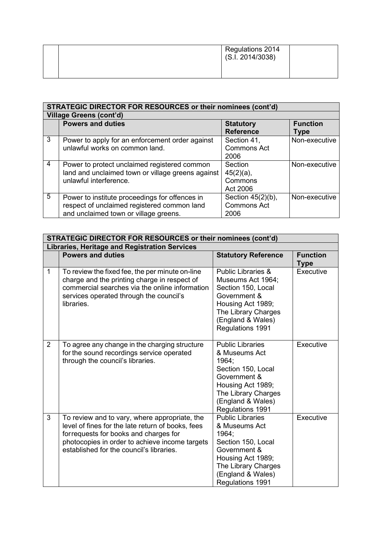| Regulations 2014<br>(S.I. 2014/3038) |  |
|--------------------------------------|--|
|                                      |  |

|   | <b>STRATEGIC DIRECTOR FOR RESOURCES or their nominees (cont'd)</b>                                                                     |                                                 |                         |  |
|---|----------------------------------------------------------------------------------------------------------------------------------------|-------------------------------------------------|-------------------------|--|
|   | <b>Village Greens (cont'd)</b>                                                                                                         |                                                 |                         |  |
|   | <b>Powers and duties</b>                                                                                                               | <b>Statutory</b><br><b>Reference</b>            | <b>Function</b><br>Type |  |
| 3 | Power to apply for an enforcement order against<br>unlawful works on common land.                                                      | Section 41,<br><b>Commons Act</b><br>2006       | Non-executive           |  |
| 4 | Power to protect unclaimed registered common<br>land and unclaimed town or village greens against<br>unlawful interference.            | Section<br>$45(2)(a)$ ,<br>Commons<br>Act 2006  | Non-executive           |  |
| 5 | Power to institute proceedings for offences in<br>respect of unclaimed registered common land<br>and unclaimed town or village greens. | Section 45(2)(b),<br><b>Commons Act</b><br>2006 | Non-executive           |  |

| <b>STRATEGIC DIRECTOR FOR RESOURCES or their nominees (cont'd)</b> |                                                                                                                                                                                                                                            |                                                                                                                                                                               |                                |  |
|--------------------------------------------------------------------|--------------------------------------------------------------------------------------------------------------------------------------------------------------------------------------------------------------------------------------------|-------------------------------------------------------------------------------------------------------------------------------------------------------------------------------|--------------------------------|--|
|                                                                    | <b>Libraries, Heritage and Registration Services</b>                                                                                                                                                                                       |                                                                                                                                                                               |                                |  |
|                                                                    | <b>Powers and duties</b>                                                                                                                                                                                                                   | <b>Statutory Reference</b>                                                                                                                                                    | <b>Function</b><br><b>Type</b> |  |
| $\mathbf{1}$                                                       | To review the fixed fee, the per minute on-line<br>charge and the printing charge in respect of<br>commercial searches via the online information<br>services operated through the council's<br>libraries.                                 | <b>Public Libraries &amp;</b><br>Museums Act 1964;<br>Section 150, Local<br>Government &<br>Housing Act 1989;<br>The Library Charges<br>(England & Wales)<br>Regulations 1991 | Executive                      |  |
| $\overline{2}$                                                     | To agree any change in the charging structure<br>for the sound recordings service operated<br>through the council's libraries.                                                                                                             | <b>Public Libraries</b><br>& Museums Act<br>1964;<br>Section 150, Local<br>Government &<br>Housing Act 1989;<br>The Library Charges<br>(England & Wales)<br>Regulations 1991  | Executive                      |  |
| 3                                                                  | To review and to vary, where appropriate, the<br>level of fines for the late return of books, fees<br>for requests for books and charges for<br>photocopies in order to achieve income targets<br>established for the council's libraries. | <b>Public Libraries</b><br>& Museums Act<br>1964:<br>Section 150, Local<br>Government &<br>Housing Act 1989;<br>The Library Charges<br>(England & Wales)<br>Regulations 1991  | Executive                      |  |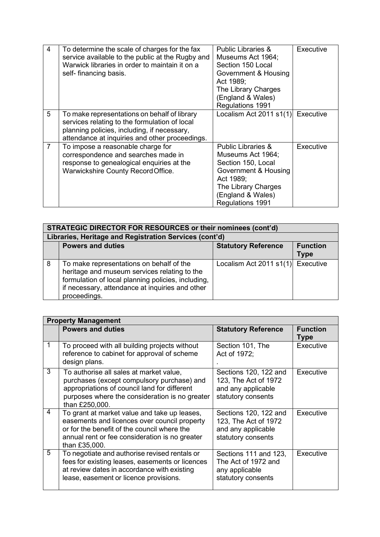| 4              | To determine the scale of charges for the fax<br>service available to the public at the Rugby and<br>Warwick libraries in order to maintain it on a<br>self- financing basis.                  | Public Libraries &<br>Museums Act 1964;<br>Section 150 Local<br>Government & Housing<br>Act 1989;<br>The Library Charges<br>(England & Wales)<br>Regulations 1991                    | Executive |
|----------------|------------------------------------------------------------------------------------------------------------------------------------------------------------------------------------------------|--------------------------------------------------------------------------------------------------------------------------------------------------------------------------------------|-----------|
| 5              | To make representations on behalf of library<br>services relating to the formulation of local<br>planning policies, including, if necessary,<br>attendance at inquiries and other proceedings. | Localism Act 2011 $s1(1)$                                                                                                                                                            | Executive |
| $\overline{7}$ | To impose a reasonable charge for<br>correspondence and searches made in<br>response to genealogical enquiries at the<br>Warwickshire County Record Office.                                    | <b>Public Libraries &amp;</b><br>Museums Act 1964;<br>Section 150, Local<br>Government & Housing<br>Act 1989;<br>The Library Charges<br>(England & Wales)<br><b>Regulations 1991</b> | Executive |

|   | STRATEGIC DIRECTOR FOR RESOURCES or their nominees (cont'd)                                                                                                                                                       |                            |                                |  |
|---|-------------------------------------------------------------------------------------------------------------------------------------------------------------------------------------------------------------------|----------------------------|--------------------------------|--|
|   | Libraries, Heritage and Registration Services (cont'd)                                                                                                                                                            |                            |                                |  |
|   | <b>Powers and duties</b>                                                                                                                                                                                          | <b>Statutory Reference</b> | <b>Function</b><br><b>Type</b> |  |
| 8 | To make representations on behalf of the<br>heritage and museum services relating to the<br>formulation of local planning policies, including,<br>if necessary, attendance at inquiries and other<br>proceedings. | Localism Act 2011 $s1(1)$  | Executive                      |  |

|   | <b>Property Management</b>                                                                                                                                                                                     |                                                                                           |                                |  |
|---|----------------------------------------------------------------------------------------------------------------------------------------------------------------------------------------------------------------|-------------------------------------------------------------------------------------------|--------------------------------|--|
|   | <b>Powers and duties</b>                                                                                                                                                                                       | <b>Statutory Reference</b>                                                                | <b>Function</b><br><b>Type</b> |  |
|   | To proceed with all building projects without<br>reference to cabinet for approval of scheme<br>design plans.                                                                                                  | Section 101, The<br>Act of 1972;                                                          | Executive                      |  |
| 3 | To authorise all sales at market value,<br>purchases (except compulsory purchase) and<br>appropriations of council land for different<br>purposes where the consideration is no greater<br>than £250,000.      | Sections 120, 122 and<br>123, The Act of 1972<br>and any applicable<br>statutory consents | Executive                      |  |
| 4 | To grant at market value and take up leases,<br>easements and licences over council property<br>or for the benefit of the council where the<br>annual rent or fee consideration is no greater<br>than £35,000. | Sections 120, 122 and<br>123, The Act of 1972<br>and any applicable<br>statutory consents | Executive                      |  |
| 5 | To negotiate and authorise revised rentals or<br>fees for existing leases, easements or licences<br>at review dates in accordance with existing<br>lease, easement or licence provisions.                      | Sections 111 and 123,<br>The Act of 1972 and<br>any applicable<br>statutory consents      | Executive                      |  |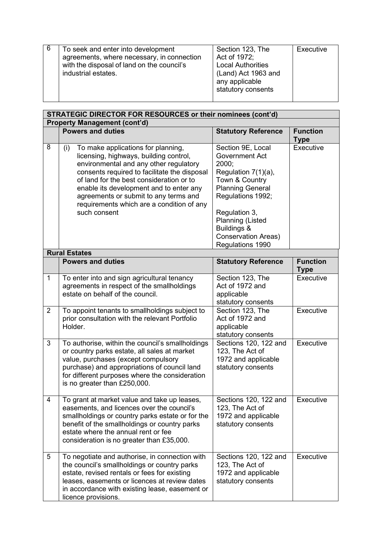| To seek and enter into development<br>agreements, where necessary, in connection<br>with the disposal of land on the council's | Section 123, The<br>Act of 1972;<br><b>Local Authorities</b> | Executive |
|--------------------------------------------------------------------------------------------------------------------------------|--------------------------------------------------------------|-----------|
| industrial estates.                                                                                                            | (Land) Act 1963 and<br>any applicable<br>statutory consents  |           |

|                | STRATEGIC DIRECTOR FOR RESOURCES or their nominees (cont'd)                                                                                                                                                                                                                                                                                                                |                                                                                                                                                                                                                                |                                |  |
|----------------|----------------------------------------------------------------------------------------------------------------------------------------------------------------------------------------------------------------------------------------------------------------------------------------------------------------------------------------------------------------------------|--------------------------------------------------------------------------------------------------------------------------------------------------------------------------------------------------------------------------------|--------------------------------|--|
|                | <b>Property Management (cont'd)</b>                                                                                                                                                                                                                                                                                                                                        |                                                                                                                                                                                                                                |                                |  |
|                | <b>Powers and duties</b>                                                                                                                                                                                                                                                                                                                                                   | <b>Statutory Reference</b>                                                                                                                                                                                                     | <b>Function</b><br><b>Type</b> |  |
| $\overline{8}$ | To make applications for planning,<br>(i)<br>licensing, highways, building control,<br>environmental and any other regulatory<br>consents required to facilitate the disposal<br>of land for the best consideration or to<br>enable its development and to enter any<br>agreements or submit to any terms and<br>requirements which are a condition of any<br>such consent | Section 9E, Local<br><b>Government Act</b><br>2000;<br>Regulation 7(1)(a),<br>Town & Country<br><b>Planning General</b><br>Regulations 1992;<br>Regulation 3,<br>Planning (Listed<br>Buildings &<br><b>Conservation Areas)</b> | Executive                      |  |
|                |                                                                                                                                                                                                                                                                                                                                                                            | Regulations 1990                                                                                                                                                                                                               |                                |  |
|                | <b>Rural Estates</b>                                                                                                                                                                                                                                                                                                                                                       |                                                                                                                                                                                                                                |                                |  |
|                | <b>Powers and duties</b>                                                                                                                                                                                                                                                                                                                                                   | <b>Statutory Reference</b>                                                                                                                                                                                                     | <b>Function</b><br><b>Type</b> |  |
| $\mathbf 1$    | To enter into and sign agricultural tenancy<br>agreements in respect of the smallholdings<br>estate on behalf of the council.                                                                                                                                                                                                                                              | Section 123, The<br>Act of 1972 and<br>applicable<br>statutory consents                                                                                                                                                        | Executive                      |  |
| $\overline{2}$ | To appoint tenants to smallholdings subject to<br>prior consultation with the relevant Portfolio<br>Holder.                                                                                                                                                                                                                                                                | Section 123, The<br>Act of 1972 and<br>applicable<br>statutory consents                                                                                                                                                        | Executive                      |  |
| 3              | To authorise, within the council's smallholdings<br>or country parks estate, all sales at market<br>value, purchases (except compulsory<br>purchase) and appropriations of council land<br>for different purposes where the consideration<br>is no greater than £250,000.                                                                                                  | Sections 120, 122 and<br>123, The Act of<br>1972 and applicable<br>statutory consents                                                                                                                                          | Executive                      |  |
| 4              | To grant at market value and take up leases,<br>easements, and licences over the council's<br>smallholdings or country parks estate or for the<br>benefit of the smallholdings or country parks<br>estate where the annual rent or fee<br>consideration is no greater than £35,000.                                                                                        | Sections 120, 122 and<br>123, The Act of<br>1972 and applicable<br>statutory consents                                                                                                                                          | Executive                      |  |
| 5              | To negotiate and authorise, in connection with<br>the council's smallholdings or country parks<br>estate, revised rentals or fees for existing<br>leases, easements or licences at review dates<br>in accordance with existing lease, easement or<br>licence provisions.                                                                                                   | Sections 120, 122 and<br>123, The Act of<br>1972 and applicable<br>statutory consents                                                                                                                                          | Executive                      |  |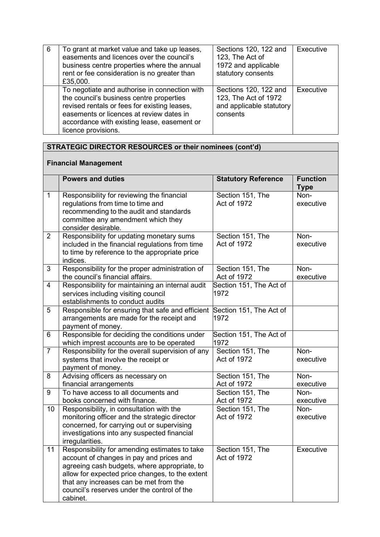| 6 | To grant at market value and take up leases,<br>easements and licences over the council's<br>business centre properties where the annual<br>rent or fee consideration is no greater than<br>£35,000.                                                        | Sections 120, 122 and<br>123, The Act of<br>1972 and applicable<br>statutory consents | Executive |
|---|-------------------------------------------------------------------------------------------------------------------------------------------------------------------------------------------------------------------------------------------------------------|---------------------------------------------------------------------------------------|-----------|
|   | To negotiate and authorise in connection with<br>the council's business centre properties<br>revised rentals or fees for existing leases,<br>easements or licences at review dates in<br>accordance with existing lease, easement or<br>licence provisions. | Sections 120, 122 and<br>123, The Act of 1972<br>and applicable statutory<br>consents | Executive |

# **Financial Management**

|                | <b>Powers and duties</b>                                                                                                                                                                                                                                                                          | <b>Statutory Reference</b>             | <b>Function</b><br><b>Type</b> |
|----------------|---------------------------------------------------------------------------------------------------------------------------------------------------------------------------------------------------------------------------------------------------------------------------------------------------|----------------------------------------|--------------------------------|
| $\mathbf{1}$   | Responsibility for reviewing the financial<br>regulations from time to time and<br>recommending to the audit and standards<br>committee any amendment which they<br>consider desirable.                                                                                                           | Section 151, The<br><b>Act of 1972</b> | Non-<br>executive              |
| $\overline{2}$ | Responsibility for updating monetary sums<br>included in the financial regulations from time<br>to time by reference to the appropriate price<br>indices.                                                                                                                                         | Section 151, The<br>Act of 1972        | Non-<br>executive              |
| 3              | Responsibility for the proper administration of<br>the council's financial affairs.                                                                                                                                                                                                               | Section 151, The<br>Act of 1972        | Non-<br>executive              |
| $\overline{4}$ | Responsibility for maintaining an internal audit<br>services including visiting council<br>establishments to conduct audits                                                                                                                                                                       | Section 151, The Act of<br>1972        |                                |
| 5              | Responsible for ensuring that safe and efficient<br>arrangements are made for the receipt and<br>payment of money.                                                                                                                                                                                | Section 151, The Act of<br>1972        |                                |
| 6              | Responsible for deciding the conditions under<br>which imprest accounts are to be operated                                                                                                                                                                                                        | Section 151, The Act of<br>1972        |                                |
| $\overline{7}$ | Responsibility for the overall supervision of any<br>systems that involve the receipt or<br>payment of money.                                                                                                                                                                                     | Section 151, The<br><b>Act of 1972</b> | Non-<br>executive              |
| 8              | Advising officers as necessary on<br>financial arrangements                                                                                                                                                                                                                                       | Section 151, The<br>Act of 1972        | Non-<br>executive              |
| 9              | To have access to all documents and<br>books concerned with finance.                                                                                                                                                                                                                              | Section 151, The<br>Act of 1972        | Non-<br>executive              |
| 10             | Responsibility, in consultation with the<br>monitoring officer and the strategic director<br>concerned, for carrying out or supervising<br>investigations into any suspected financial<br>irregularities.                                                                                         | Section 151, The<br>Act of 1972        | Non-<br>executive              |
| 11             | Responsibility for amending estimates to take<br>account of changes in pay and prices and<br>agreeing cash budgets, where appropriate, to<br>allow for expected price changes, to the extent<br>that any increases can be met from the<br>council's reserves under the control of the<br>cabinet. | Section 151, The<br>Act of 1972        | Executive                      |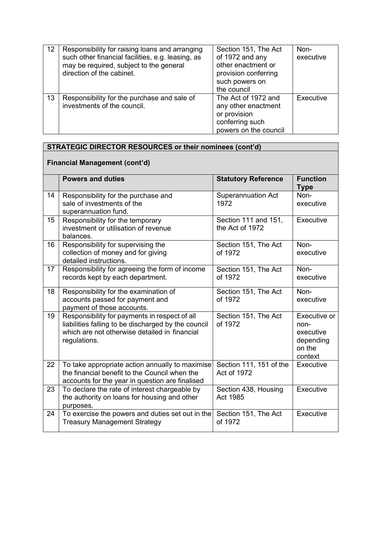| 12 | Responsibility for raising loans and arranging<br>such other financial facilities, e.g. leasing, as<br>may be required, subject to the general<br>direction of the cabinet. | Section 151, The Act<br>of 1972 and any<br>other enactment or<br>provision conferring<br>such powers on<br>the council | Non-<br>executive |
|----|-----------------------------------------------------------------------------------------------------------------------------------------------------------------------------|------------------------------------------------------------------------------------------------------------------------|-------------------|
| 13 | Responsibility for the purchase and sale of<br>investments of the council.                                                                                                  | The Act of 1972 and<br>any other enactment<br>or provision<br>conferring such<br>powers on the council                 | Executive         |

# **Financial Management (cont'd)**

|    |                                                                                                                                                                       |                                         | <b>Function</b>                                                     |
|----|-----------------------------------------------------------------------------------------------------------------------------------------------------------------------|-----------------------------------------|---------------------------------------------------------------------|
|    | <b>Powers and duties</b>                                                                                                                                              | <b>Statutory Reference</b>              | <b>Type</b>                                                         |
| 14 | Responsibility for the purchase and<br>sale of investments of the<br>superannuation fund.                                                                             | <b>Superannuation Act</b><br>1972       | Non-<br>executive                                                   |
| 15 | Responsibility for the temporary<br>investment or utilisation of revenue<br>balances.                                                                                 | Section 111 and 151,<br>the Act of 1972 | Executive                                                           |
| 16 | Responsibility for supervising the<br>collection of money and for giving<br>detailed instructions.                                                                    | Section 151, The Act<br>of 1972         | Non-<br>executive                                                   |
| 17 | Responsibility for agreeing the form of income<br>records kept by each department.                                                                                    | Section 151, The Act<br>of 1972         | Non-<br>executive                                                   |
| 18 | Responsibility for the examination of<br>accounts passed for payment and<br>payment of those accounts.                                                                | Section 151, The Act<br>of 1972         | Non-<br>executive                                                   |
| 19 | Responsibility for payments in respect of all<br>liabilities falling to be discharged by the council<br>which are not otherwise detailed in financial<br>regulations. | Section 151, The Act<br>of 1972         | Executive or<br>non-<br>executive<br>depending<br>on the<br>context |
| 22 | To take appropriate action annually to maximise<br>the financial benefit to the Council when the<br>accounts for the year in question are finalised                   | Section 111, 151 of the<br>Act of 1972  | Executive                                                           |
| 23 | To declare the rate of interest chargeable by<br>the authority on loans for housing and other<br>purposes.                                                            | Section 438, Housing<br>Act 1985        | Executive                                                           |
| 24 | To exercise the powers and duties set out in the<br><b>Treasury Management Strategy</b>                                                                               | Section 151, The Act<br>of 1972         | Executive                                                           |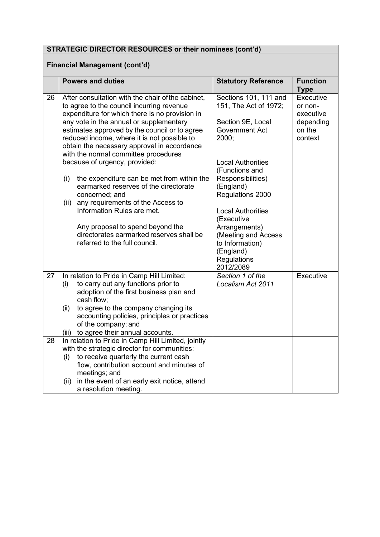# **Financial Management (cont'd)**

|    | <b>Powers and duties</b>                                                                                                                                                                                                       | <b>Statutory Reference</b>                                                      | <b>Function</b>                   |
|----|--------------------------------------------------------------------------------------------------------------------------------------------------------------------------------------------------------------------------------|---------------------------------------------------------------------------------|-----------------------------------|
|    |                                                                                                                                                                                                                                |                                                                                 | <b>Type</b>                       |
| 26 | After consultation with the chair of the cabinet,<br>to agree to the council incurring revenue<br>expenditure for which there is no provision in                                                                               | Sections 101, 111 and<br>151, The Act of 1972;                                  | Executive<br>or non-<br>executive |
|    | any vote in the annual or supplementary<br>estimates approved by the council or to agree<br>reduced income, where it is not possible to<br>obtain the necessary approval in accordance<br>with the normal committee procedures | Section 9E, Local<br><b>Government Act</b><br>2000;                             | depending<br>on the<br>context    |
|    | because of urgency, provided:                                                                                                                                                                                                  | <b>Local Authorities</b><br>(Functions and                                      |                                   |
|    | the expenditure can be met from within the<br>(i)<br>earmarked reserves of the directorate<br>concerned; and                                                                                                                   | Responsibilities)<br>(England)<br>Regulations 2000                              |                                   |
|    | any requirements of the Access to<br>(ii)<br>Information Rules are met.                                                                                                                                                        | <b>Local Authorities</b>                                                        |                                   |
|    | Any proposal to spend beyond the                                                                                                                                                                                               | (Executive<br>Arrangements)                                                     |                                   |
|    | directorates earmarked reserves shall be<br>referred to the full council.                                                                                                                                                      | (Meeting and Access<br>to Information)<br>(England)<br>Regulations<br>2012/2089 |                                   |
| 27 | In relation to Pride in Camp Hill Limited:<br>to carry out any functions prior to<br>(i)<br>adoption of the first business plan and<br>cash flow;                                                                              | Section 1 of the<br>Localism Act 2011                                           | Executive                         |
|    | to agree to the company changing its<br>(ii)<br>accounting policies, principles or practices<br>of the company; and<br>to agree their annual accounts.<br>(iii)                                                                |                                                                                 |                                   |
| 28 | In relation to Pride in Camp Hill Limited, jointly                                                                                                                                                                             |                                                                                 |                                   |
|    | with the strategic director for communities:                                                                                                                                                                                   |                                                                                 |                                   |
|    | to receive quarterly the current cash<br>(i)                                                                                                                                                                                   |                                                                                 |                                   |
|    | flow, contribution account and minutes of<br>meetings; and                                                                                                                                                                     |                                                                                 |                                   |
|    | in the event of an early exit notice, attend<br>(ii)<br>a resolution meeting.                                                                                                                                                  |                                                                                 |                                   |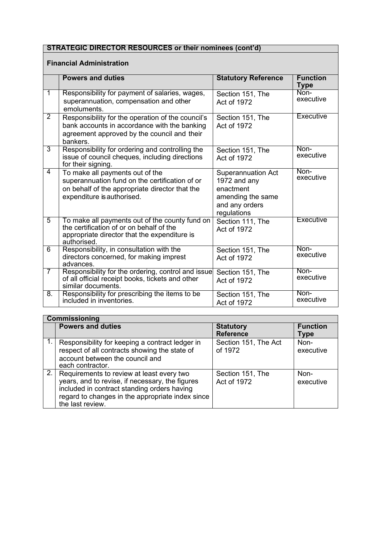### **Financial Administration**

|                  | <b>Powers and duties</b>                                                                                                                                          | <b>Statutory Reference</b>                                                                                   | <b>Function</b><br><b>Type</b> |
|------------------|-------------------------------------------------------------------------------------------------------------------------------------------------------------------|--------------------------------------------------------------------------------------------------------------|--------------------------------|
| 1                | Responsibility for payment of salaries, wages,<br>superannuation, compensation and other<br>emoluments.                                                           | Section 151, The<br>Act of 1972                                                                              | Non-<br>executive              |
| $\overline{2}$   | Responsibility for the operation of the council's<br>bank accounts in accordance with the banking<br>agreement approved by the council and their<br>bankers.      | Section 151, The<br>Act of 1972                                                                              | Executive                      |
| $\overline{3}$   | Responsibility for ordering and controlling the<br>issue of council cheques, including directions<br>for their signing.                                           | Section 151, The<br>Act of 1972                                                                              | Non-<br>executive              |
| 4                | To make all payments out of the<br>superannuation fund on the certification of or<br>on behalf of the appropriate director that the<br>expenditure is authorised. | <b>Superannuation Act</b><br>1972 and any<br>enactment<br>amending the same<br>and any orders<br>regulations | Non-<br>executive              |
| $\overline{5}$   | To make all payments out of the county fund on<br>the certification of or on behalf of the<br>appropriate director that the expenditure is<br>authorised.         | Section 111, The<br>Act of 1972                                                                              | Executive                      |
| $\overline{6}$   | Responsibility, in consultation with the<br>directors concerned, for making imprest<br>advances.                                                                  | Section 151, The<br><b>Act of 1972</b>                                                                       | Non-<br>executive              |
| $\overline{7}$   | Responsibility for the ordering, control and issue<br>of all official receipt books, tickets and other<br>similar documents.                                      | Section 151, The<br>Act of 1972                                                                              | Non-<br>executive              |
| $\overline{8}$ . | Responsibility for prescribing the items to be<br>included in inventories.                                                                                        | Section 151, The<br>Act of 1972                                                                              | Non-<br>executive              |

| <b>Commissioning</b>                                                                                                                                                                                                                |                                      |                         |  |
|-------------------------------------------------------------------------------------------------------------------------------------------------------------------------------------------------------------------------------------|--------------------------------------|-------------------------|--|
| <b>Powers and duties</b>                                                                                                                                                                                                            | <b>Statutory</b><br><b>Reference</b> | <b>Function</b><br>Type |  |
| Responsibility for keeping a contract ledger in<br>respect of all contracts showing the state of<br>account between the council and<br>each contractor.                                                                             | Section 151, The Act<br>of 1972      | Non-<br>executive       |  |
| $\overline{2.}$ Requirements to review at least every two<br>years, and to revise, if necessary, the figures<br>included in contract standing orders having<br>regard to changes in the appropriate index since<br>the last review. | Section 151, The<br>Act of 1972      | Non-<br>executive       |  |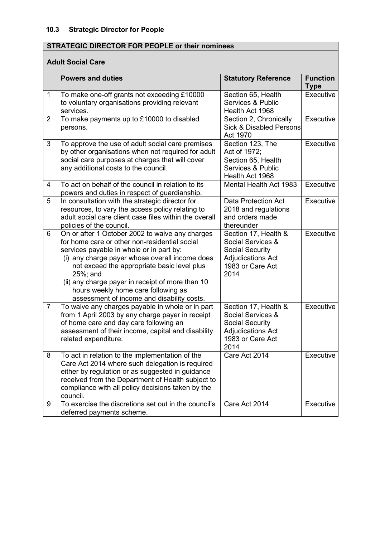# **STRATEGIC DIRECTOR FOR PEOPLE or their nominees**

# **Adult Social Care**

|                | <b>Powers and duties</b>                                                                                                                                                                                                                                                                                                                                                                               | <b>Statutory Reference</b>                                                                                                  | <b>Function</b><br><b>Type</b> |
|----------------|--------------------------------------------------------------------------------------------------------------------------------------------------------------------------------------------------------------------------------------------------------------------------------------------------------------------------------------------------------------------------------------------------------|-----------------------------------------------------------------------------------------------------------------------------|--------------------------------|
| $\mathbf 1$    | To make one-off grants not exceeding £10000<br>to voluntary organisations providing relevant<br>services.                                                                                                                                                                                                                                                                                              | Section 65, Health<br>Services & Public<br>Health Act 1968                                                                  | Executive                      |
| $\overline{2}$ | To make payments up to £10000 to disabled<br>persons.                                                                                                                                                                                                                                                                                                                                                  | Section 2, Chronically<br><b>Sick &amp; Disabled Persons</b><br>Act 1970                                                    | Executive                      |
| 3              | To approve the use of adult social care premises<br>by other organisations when not required for adult<br>social care purposes at charges that will cover<br>any additional costs to the council.                                                                                                                                                                                                      | Section 123, The<br>Act of 1972;<br>Section 65, Health<br>Services & Public<br>Health Act 1968                              | Executive                      |
| 4              | To act on behalf of the council in relation to its<br>powers and duties in respect of guardianship.                                                                                                                                                                                                                                                                                                    | Mental Health Act 1983                                                                                                      | Executive                      |
| 5              | In consultation with the strategic director for<br>resources, to vary the access policy relating to<br>adult social care client case files within the overall<br>policies of the council.                                                                                                                                                                                                              | <b>Data Protection Act</b><br>2018 and regulations<br>and orders made<br>thereunder                                         | Executive                      |
| 6              | On or after 1 October 2002 to waive any charges<br>for home care or other non-residential social<br>services payable in whole or in part by:<br>(i) any charge payer whose overall income does<br>not exceed the appropriate basic level plus<br>$25\%$ ; and<br>(ii) any charge payer in receipt of more than 10<br>hours weekly home care following as<br>assessment of income and disability costs. | Section 17, Health &<br>Social Services &<br><b>Social Security</b><br><b>Adjudications Act</b><br>1983 or Care Act<br>2014 | Executive                      |
| $\overline{7}$ | To waive any charges payable in whole or in part<br>from 1 April 2003 by any charge payer in receipt<br>of home care and day care following an<br>assessment of their income, capital and disability<br>related expenditure.                                                                                                                                                                           | Section 17, Health &<br>Social Services &<br><b>Social Security</b><br><b>Adjudications Act</b><br>1983 or Care Act<br>2014 | Executive                      |
| 8              | To act in relation to the implementation of the<br>Care Act 2014 where such delegation is required<br>either by regulation or as suggested in guidance<br>received from the Department of Health subject to<br>compliance with all policy decisions taken by the<br>council.                                                                                                                           | Care Act 2014                                                                                                               | Executive                      |
| 9              | To exercise the discretions set out in the council's<br>deferred payments scheme.                                                                                                                                                                                                                                                                                                                      | Care Act 2014                                                                                                               | Executive                      |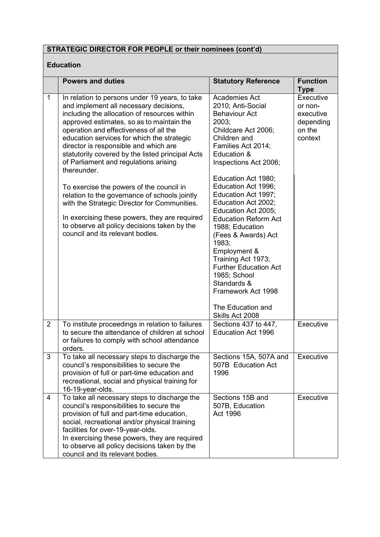# **Education**

|                | <b>Powers and duties</b>                                                                                                                                                                                                                                                                                                                                                                                                                                                                                                                                                                                                                                                                                             | <b>Statutory Reference</b>                                                                                                                                                                                                                                                                                                                                                                                                                                                                                                                       | <b>Function</b><br><b>Type</b>                                      |
|----------------|----------------------------------------------------------------------------------------------------------------------------------------------------------------------------------------------------------------------------------------------------------------------------------------------------------------------------------------------------------------------------------------------------------------------------------------------------------------------------------------------------------------------------------------------------------------------------------------------------------------------------------------------------------------------------------------------------------------------|--------------------------------------------------------------------------------------------------------------------------------------------------------------------------------------------------------------------------------------------------------------------------------------------------------------------------------------------------------------------------------------------------------------------------------------------------------------------------------------------------------------------------------------------------|---------------------------------------------------------------------|
| 1              | In relation to persons under 19 years, to take<br>and implement all necessary decisions,<br>including the allocation of resources within<br>approved estimates, so as to maintain the<br>operation and effectiveness of all the<br>education services for which the strategic<br>director is responsible and which are<br>statutorily covered by the listed principal Acts<br>of Parliament and regulations arising<br>thereunder.<br>To exercise the powers of the council in<br>relation to the governance of schools jointly<br>with the Strategic Director for Communities.<br>In exercising these powers, they are required<br>to observe all policy decisions taken by the<br>council and its relevant bodies. | Academies Act<br>2010; Anti-Social<br><b>Behaviour Act</b><br>2003;<br>Childcare Act 2006;<br>Children and<br>Families Act 2014;<br>Education &<br>Inspections Act 2006;<br>Education Act 1980;<br>Education Act 1996;<br>Education Act 1997;<br>Education Act 2002;<br>Education Act 2005;<br><b>Education Reform Act</b><br>1988; Education<br>(Fees & Awards) Act<br>1983:<br>Employment &<br>Training Act 1973;<br><b>Further Education Act</b><br>1985; School<br>Standards &<br>Framework Act 1998<br>The Education and<br>Skills Act 2008 | Executive<br>or non-<br>executive<br>depending<br>on the<br>context |
| $\overline{2}$ | To institute proceedings in relation to failures<br>to secure the attendance of children at school<br>or failures to comply with school attendance<br>orders.                                                                                                                                                                                                                                                                                                                                                                                                                                                                                                                                                        | Sections 437 to 447,<br><b>Education Act 1996</b>                                                                                                                                                                                                                                                                                                                                                                                                                                                                                                | Executive                                                           |
| 3              | To take all necessary steps to discharge the<br>council's responsibilities to secure the<br>provision of full or part-time education and<br>recreational, social and physical training for<br>16-19-year-olds.                                                                                                                                                                                                                                                                                                                                                                                                                                                                                                       | Sections 15A, 507A and<br>507B Education Act<br>1996                                                                                                                                                                                                                                                                                                                                                                                                                                                                                             | Executive                                                           |
| 4              | To take all necessary steps to discharge the<br>council's responsibilities to secure the<br>provision of full and part-time education,<br>social, recreational and/or physical training<br>facilities for over-19-year-olds.<br>In exercising these powers, they are required<br>to observe all policy decisions taken by the<br>council and its relevant bodies.                                                                                                                                                                                                                                                                                                                                                    | Sections 15B and<br>507B, Education<br>Act 1996                                                                                                                                                                                                                                                                                                                                                                                                                                                                                                  | Executive                                                           |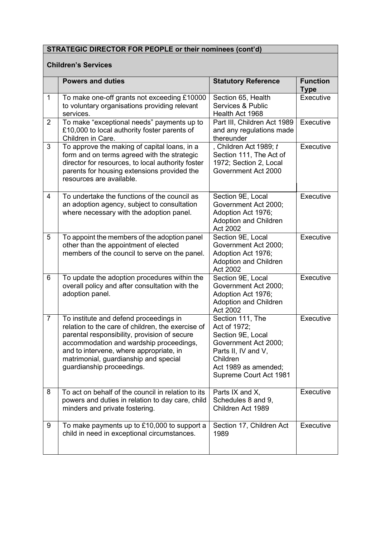### **Children's Services**

|                | <b>Powers and duties</b>                                                                                                                                                                                                                                                                                | <b>Statutory Reference</b>                                                                                                                                         | <b>Function</b><br><b>Type</b> |
|----------------|---------------------------------------------------------------------------------------------------------------------------------------------------------------------------------------------------------------------------------------------------------------------------------------------------------|--------------------------------------------------------------------------------------------------------------------------------------------------------------------|--------------------------------|
| $\mathbf 1$    | To make one-off grants not exceeding £10000<br>to voluntary organisations providing relevant<br>services.                                                                                                                                                                                               | Section 65, Health<br>Services & Public<br>Health Act 1968                                                                                                         | Executive                      |
| $\overline{2}$ | To make "exceptional needs" payments up to<br>£10,000 to local authority foster parents of<br>Children in Care.                                                                                                                                                                                         | Part III, Children Act 1989<br>and any regulations made<br>thereunder                                                                                              | Executive                      |
| 3              | To approve the making of capital loans, in a<br>form and on terms agreed with the strategic<br>director for resources, to local authority foster<br>parents for housing extensions provided the<br>resources are available.                                                                             | , Children Act 1989; t<br>Section 111, The Act of<br>1972; Section 2, Local<br>Government Act 2000                                                                 | Executive                      |
| 4              | To undertake the functions of the council as<br>an adoption agency, subject to consultation<br>where necessary with the adoption panel.                                                                                                                                                                 | Section 9E, Local<br>Government Act 2000;<br>Adoption Act 1976;<br><b>Adoption and Children</b><br>Act 2002                                                        | Executive                      |
| 5              | To appoint the members of the adoption panel<br>other than the appointment of elected<br>members of the council to serve on the panel.                                                                                                                                                                  | Section 9E, Local<br>Government Act 2000;<br>Adoption Act 1976;<br><b>Adoption and Children</b><br>Act 2002                                                        | Executive                      |
| 6              | To update the adoption procedures within the<br>overall policy and after consultation with the<br>adoption panel.                                                                                                                                                                                       | Section 9E, Local<br>Government Act 2000;<br>Adoption Act 1976;<br>Adoption and Children<br>Act 2002                                                               | Executive                      |
| $\overline{7}$ | To institute and defend proceedings in<br>relation to the care of children, the exercise of<br>parental responsibility, provision of secure<br>accommodation and wardship proceedings,<br>and to intervene, where appropriate, in<br>matrimonial, guardianship and special<br>guardianship proceedings. | Section 111, The<br>Act of 1972;<br>Section 9E, Local<br>Government Act 2000;<br>Parts II, IV and V,<br>Children<br>Act 1989 as amended;<br>Supreme Court Act 1981 | Executive                      |
| 8              | To act on behalf of the council in relation to its<br>powers and duties in relation to day care, child<br>minders and private fostering.                                                                                                                                                                | Parts IX and X,<br>Schedules 8 and 9,<br>Children Act 1989                                                                                                         | Executive                      |
| 9              | To make payments up to £10,000 to support a<br>child in need in exceptional circumstances.                                                                                                                                                                                                              | Section 17, Children Act<br>1989                                                                                                                                   | Executive                      |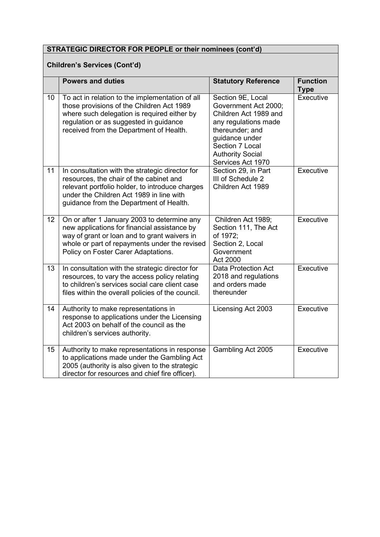# **Children's Services (Cont'd)**

|    | <b>Powers and duties</b>                                                                                                                                                                                                             | <b>Statutory Reference</b>                                                                                                                                                                         | <b>Function</b><br><b>Type</b> |
|----|--------------------------------------------------------------------------------------------------------------------------------------------------------------------------------------------------------------------------------------|----------------------------------------------------------------------------------------------------------------------------------------------------------------------------------------------------|--------------------------------|
| 10 | To act in relation to the implementation of all<br>those provisions of the Children Act 1989<br>where such delegation is required either by<br>regulation or as suggested in guidance<br>received from the Department of Health.     | Section 9E, Local<br>Government Act 2000;<br>Children Act 1989 and<br>any regulations made<br>thereunder; and<br>guidance under<br>Section 7 Local<br><b>Authority Social</b><br>Services Act 1970 | Executive                      |
| 11 | In consultation with the strategic director for<br>resources, the chair of the cabinet and<br>relevant portfolio holder, to introduce charges<br>under the Children Act 1989 in line with<br>guidance from the Department of Health. | Section 29, in Part<br>III of Schedule 2<br>Children Act 1989                                                                                                                                      | Executive                      |
| 12 | On or after 1 January 2003 to determine any<br>new applications for financial assistance by<br>way of grant or loan and to grant waivers in<br>whole or part of repayments under the revised<br>Policy on Foster Carer Adaptations.  | Children Act 1989;<br>Section 111, The Act<br>of 1972;<br>Section 2, Local<br>Government<br>Act 2000                                                                                               | Executive                      |
| 13 | In consultation with the strategic director for<br>resources, to vary the access policy relating<br>to children's services social care client case<br>files within the overall policies of the council.                              | <b>Data Protection Act</b><br>2018 and regulations<br>and orders made<br>thereunder                                                                                                                | Executive                      |
| 14 | Authority to make representations in<br>response to applications under the Licensing<br>Act 2003 on behalf of the council as the<br>children's services authority.                                                                   | Licensing Act 2003                                                                                                                                                                                 | Executive                      |
| 15 | Authority to make representations in response<br>to applications made under the Gambling Act<br>2005 (authority is also given to the strategic<br>director for resources and chief fire officer).                                    | Gambling Act 2005                                                                                                                                                                                  | Executive                      |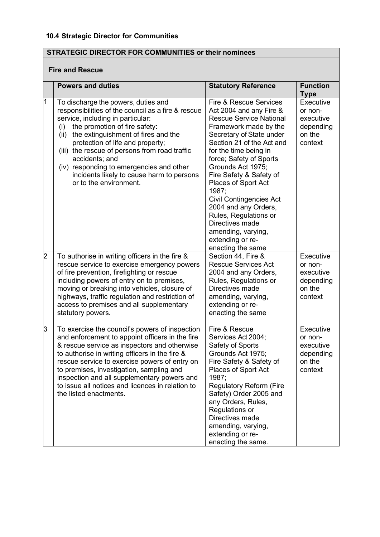### **Fire and Rescue**

|                | <b>Powers and duties</b>                                                                                                                                                                                                                                                                                                                                                                                                                        | <b>Statutory Reference</b>                                                                                                                                                                                                                                                                                                                                                                                                                                                                | <b>Function</b><br><b>Type</b>                                      |
|----------------|-------------------------------------------------------------------------------------------------------------------------------------------------------------------------------------------------------------------------------------------------------------------------------------------------------------------------------------------------------------------------------------------------------------------------------------------------|-------------------------------------------------------------------------------------------------------------------------------------------------------------------------------------------------------------------------------------------------------------------------------------------------------------------------------------------------------------------------------------------------------------------------------------------------------------------------------------------|---------------------------------------------------------------------|
| 1              | To discharge the powers, duties and<br>responsibilities of the council as a fire & rescue<br>service, including in particular:<br>the promotion of fire safety:<br>(i)<br>the extinguishment of fires and the<br>(ii)<br>protection of life and property;<br>(iii) the rescue of persons from road traffic<br>accidents; and<br>(iv) responding to emergencies and other<br>incidents likely to cause harm to persons<br>or to the environment. | <b>Fire &amp; Rescue Services</b><br>Act 2004 and any Fire &<br><b>Rescue Service National</b><br>Framework made by the<br>Secretary of State under<br>Section 21 of the Act and<br>for the time being in<br>force; Safety of Sports<br>Grounds Act 1975;<br>Fire Safety & Safety of<br>Places of Sport Act<br>1987;<br><b>Civil Contingencies Act</b><br>2004 and any Orders,<br>Rules, Regulations or<br>Directives made<br>amending, varying,<br>extending or re-<br>enacting the same | Executive<br>or non-<br>executive<br>depending<br>on the<br>context |
| $\overline{2}$ | To authorise in writing officers in the fire &<br>rescue service to exercise emergency powers<br>of fire prevention, firefighting or rescue<br>including powers of entry on to premises,<br>moving or breaking into vehicles, closure of<br>highways, traffic regulation and restriction of<br>access to premises and all supplementary<br>statutory powers.                                                                                    | Section 44, Fire &<br><b>Rescue Services Act</b><br>2004 and any Orders,<br>Rules, Regulations or<br>Directives made<br>amending, varying,<br>extending or re-<br>enacting the same                                                                                                                                                                                                                                                                                                       | Executive<br>or non-<br>executive<br>depending<br>on the<br>context |
| 3              | To exercise the council's powers of inspection<br>and enforcement to appoint officers in the fire<br>& rescue service as inspectors and otherwise<br>to authorise in writing officers in the fire &<br>rescue service to exercise powers of entry on<br>to premises, investigation, sampling and<br>inspection and all supplementary powers and<br>to issue all notices and licences in relation to<br>the listed enactments.                   | Fire & Rescue<br>Services Act 2004;<br>Safety of Sports<br>Grounds Act 1975;<br>Fire Safety & Safety of<br>Places of Sport Act<br>1987;<br><b>Regulatory Reform (Fire</b><br>Safety) Order 2005 and<br>any Orders, Rules,<br>Regulations or<br>Directives made<br>amending, varying,<br>extending or re-<br>enacting the same.                                                                                                                                                            | Executive<br>or non-<br>executive<br>depending<br>on the<br>context |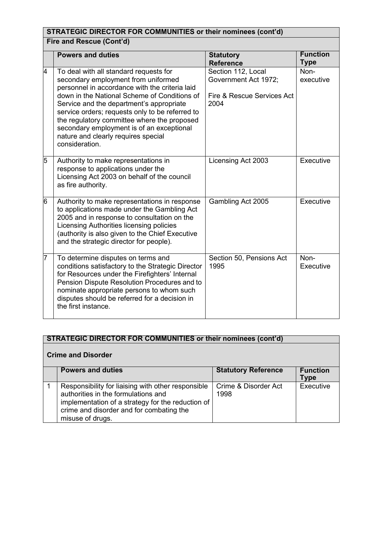|                 | STRATEGIC DIRECTOR FOR COMMUNITIES or their nominees (cont'd)                                                                                                                                                                                                                                                                                                                                                                       |                                                                                  |                                |  |
|-----------------|-------------------------------------------------------------------------------------------------------------------------------------------------------------------------------------------------------------------------------------------------------------------------------------------------------------------------------------------------------------------------------------------------------------------------------------|----------------------------------------------------------------------------------|--------------------------------|--|
|                 | Fire and Rescue (Cont'd)                                                                                                                                                                                                                                                                                                                                                                                                            |                                                                                  |                                |  |
|                 | <b>Powers and duties</b>                                                                                                                                                                                                                                                                                                                                                                                                            | <b>Statutory</b><br><b>Reference</b>                                             | <b>Function</b><br><b>Type</b> |  |
| 4               | To deal with all standard requests for<br>secondary employment from uniformed<br>personnel in accordance with the criteria laid<br>down in the National Scheme of Conditions of<br>Service and the department's appropriate<br>service orders; requests only to be referred to<br>the regulatory committee where the proposed<br>secondary employment is of an exceptional<br>nature and clearly requires special<br>consideration. | Section 112, Local<br>Government Act 1972;<br>Fire & Rescue Services Act<br>2004 | Non-<br>executive              |  |
| 5               | Authority to make representations in<br>response to applications under the<br>Licensing Act 2003 on behalf of the council<br>as fire authority.                                                                                                                                                                                                                                                                                     | Licensing Act 2003                                                               | Executive                      |  |
| $6\phantom{.}6$ | Authority to make representations in response<br>to applications made under the Gambling Act<br>2005 and in response to consultation on the<br>Licensing Authorities licensing policies<br>(authority is also given to the Chief Executive<br>and the strategic director for people).                                                                                                                                               | Gambling Act 2005                                                                | Executive                      |  |
| $\overline{7}$  | To determine disputes on terms and<br>conditions satisfactory to the Strategic Director<br>for Resources under the Firefighters' Internal<br>Pension Dispute Resolution Procedures and to<br>nominate appropriate persons to whom such<br>disputes should be referred for a decision in<br>the first instance.                                                                                                                      | Section 50, Pensions Act<br>1995                                                 | Non-<br>Executive              |  |

# **Crime and Disorder**

| <b>Powers and duties</b>                                                                                                                                                                                       | <b>Statutory Reference</b>   | <b>Function</b><br>Type |
|----------------------------------------------------------------------------------------------------------------------------------------------------------------------------------------------------------------|------------------------------|-------------------------|
| Responsibility for liaising with other responsible<br>authorities in the formulations and<br>implementation of a strategy for the reduction of<br>crime and disorder and for combating the<br>misuse of drugs. | Crime & Disorder Act<br>1998 | Executive               |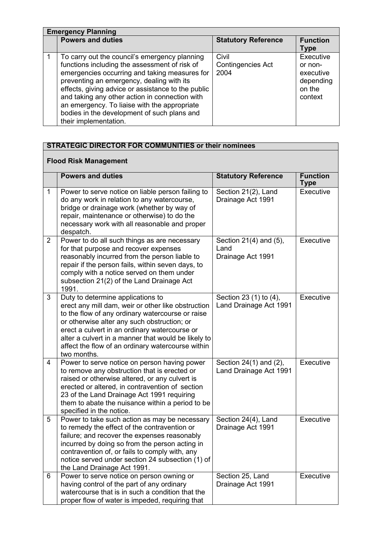| <b>Emergency Planning</b>                                                                                                                                                                                                                                                                                                                                                                                                    |                                           |                                                                     |  |
|------------------------------------------------------------------------------------------------------------------------------------------------------------------------------------------------------------------------------------------------------------------------------------------------------------------------------------------------------------------------------------------------------------------------------|-------------------------------------------|---------------------------------------------------------------------|--|
| <b>Powers and duties</b>                                                                                                                                                                                                                                                                                                                                                                                                     | <b>Statutory Reference</b>                | <b>Function</b><br>Type                                             |  |
| To carry out the council's emergency planning<br>functions including the assessment of risk of<br>emergencies occurring and taking measures for<br>preventing an emergency, dealing with its<br>effects, giving advice or assistance to the public<br>and taking any other action in connection with<br>an emergency. To liaise with the appropriate<br>bodies in the development of such plans and<br>their implementation. | Civil<br><b>Contingencies Act</b><br>2004 | Executive<br>or non-<br>executive<br>depending<br>on the<br>context |  |

# **Flood Risk Management**

|                | <b>Powers and duties</b>                                                                                                                                                                                                                                                                                                                                               | <b>Statutory Reference</b>                          | <b>Function</b><br><b>Type</b> |
|----------------|------------------------------------------------------------------------------------------------------------------------------------------------------------------------------------------------------------------------------------------------------------------------------------------------------------------------------------------------------------------------|-----------------------------------------------------|--------------------------------|
| $\mathbf 1$    | Power to serve notice on liable person failing to<br>do any work in relation to any watercourse,<br>bridge or drainage work (whether by way of<br>repair, maintenance or otherwise) to do the<br>necessary work with all reasonable and proper<br>despatch.                                                                                                            | Section 21(2), Land<br>Drainage Act 1991            | Executive                      |
| $\overline{2}$ | Power to do all such things as are necessary<br>for that purpose and recover expenses<br>reasonably incurred from the person liable to<br>repair if the person fails, within seven days, to<br>comply with a notice served on them under<br>subsection 21(2) of the Land Drainage Act<br>1991.                                                                         | Section 21(4) and (5),<br>Land<br>Drainage Act 1991 | <b>Executive</b>               |
| 3              | Duty to determine applications to<br>erect any mill dam, weir or other like obstruction<br>to the flow of any ordinary watercourse or raise<br>or otherwise alter any such obstruction; or<br>erect a culvert in an ordinary watercourse or<br>alter a culvert in a manner that would be likely to<br>affect the flow of an ordinary watercourse within<br>two months. | Section 23 (1) to (4),<br>Land Drainage Act 1991    | Executive                      |
| 4              | Power to serve notice on person having power<br>to remove any obstruction that is erected or<br>raised or otherwise altered, or any culvert is<br>erected or altered, in contravention of section<br>23 of the Land Drainage Act 1991 requiring<br>them to abate the nuisance within a period to be<br>specified in the notice.                                        | Section 24(1) and (2),<br>Land Drainage Act 1991    | Executive                      |
| 5              | Power to take such action as may be necessary<br>to remedy the effect of the contravention or<br>failure; and recover the expenses reasonably<br>incurred by doing so from the person acting in<br>contravention of, or fails to comply with, any<br>notice served under section 24 subsection (1) of<br>the Land Drainage Act 1991.                                   | Section 24(4), Land<br>Drainage Act 1991            | Executive                      |
| 6              | Power to serve notice on person owning or<br>having control of the part of any ordinary<br>watercourse that is in such a condition that the<br>proper flow of water is impeded, requiring that                                                                                                                                                                         | Section 25, Land<br>Drainage Act 1991               | Executive                      |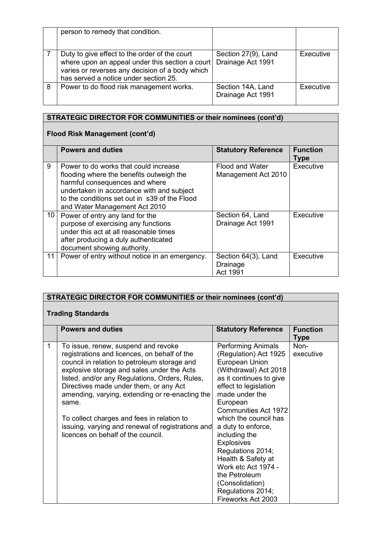|   | person to remedy that condition.                                                                                                                                                             |                                          |           |
|---|----------------------------------------------------------------------------------------------------------------------------------------------------------------------------------------------|------------------------------------------|-----------|
|   | Duty to give effect to the order of the court<br>where upon an appeal under this section a court<br>varies or reverses any decision of a body which<br>has served a notice under section 25. | Section 27(9), Land<br>Drainage Act 1991 | Executive |
| 8 | Power to do flood risk management works.                                                                                                                                                     | Section 14A, Land<br>Drainage Act 1991   | Executive |

# **Flood Risk Management (cont'd)**

|    | <b>Powers and duties</b>                                                                                                                                                                                                                           | <b>Statutory Reference</b>                    | <b>Function</b><br>Type |
|----|----------------------------------------------------------------------------------------------------------------------------------------------------------------------------------------------------------------------------------------------------|-----------------------------------------------|-------------------------|
| 9  | Power to do works that could increase<br>flooding where the benefits outweigh the<br>harmful consequences and where<br>undertaken in accordance with and subject<br>to the conditions set out in s39 of the Flood<br>and Water Management Act 2010 | <b>Flood and Water</b><br>Management Act 2010 | Executive               |
| 10 | Power of entry any land for the<br>purpose of exercising any functions<br>under this act at all reasonable times<br>after producing a duly authenticated<br>document showing authority.                                                            | Section 64, Land<br>Drainage Act 1991         | Executive               |
| 11 | Power of entry without notice in an emergency.                                                                                                                                                                                                     | Section 64(3), Land<br>Drainage<br>Act 1991   | Executive               |

|   | <b>STRATEGIC DIRECTOR FOR COMMUNITIES or their nominees (cont'd)</b>                                                                                                                                                                                                                                                                                                                                                                                                               |                                                                                                                                                                                                                                                                                                                                                                                                                                                             |                                |  |
|---|------------------------------------------------------------------------------------------------------------------------------------------------------------------------------------------------------------------------------------------------------------------------------------------------------------------------------------------------------------------------------------------------------------------------------------------------------------------------------------|-------------------------------------------------------------------------------------------------------------------------------------------------------------------------------------------------------------------------------------------------------------------------------------------------------------------------------------------------------------------------------------------------------------------------------------------------------------|--------------------------------|--|
|   | <b>Trading Standards</b>                                                                                                                                                                                                                                                                                                                                                                                                                                                           |                                                                                                                                                                                                                                                                                                                                                                                                                                                             |                                |  |
|   | <b>Powers and duties</b>                                                                                                                                                                                                                                                                                                                                                                                                                                                           | <b>Statutory Reference</b>                                                                                                                                                                                                                                                                                                                                                                                                                                  | <b>Function</b><br><b>Type</b> |  |
| 1 | To issue, renew, suspend and revoke<br>registrations and licences, on behalf of the<br>council in relation to petroleum storage and<br>explosive storage and sales under the Acts<br>listed, and/or any Regulations, Orders, Rules,<br>Directives made under them, or any Act<br>amending, varying, extending or re-enacting the<br>same.<br>To collect charges and fees in relation to<br>issuing, varying and renewal of registrations and<br>licences on behalf of the council. | <b>Performing Animals</b><br>(Regulation) Act 1925<br><b>European Union</b><br>(Withdrawal) Act 2018<br>as it continues to give<br>effect to legislation<br>made under the<br>European<br><b>Communities Act 1972</b><br>which the council has<br>a duty to enforce,<br>including the<br><b>Explosives</b><br>Regulations 2014;<br>Health & Safety at<br>Work etc Act 1974 -<br>the Petroleum<br>(Consolidation)<br>Regulations 2014;<br>Fireworks Act 2003 | Non-<br>executive              |  |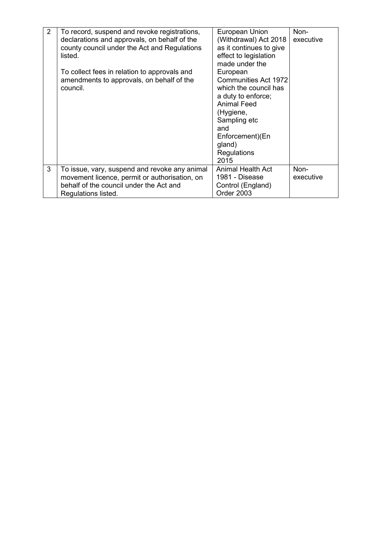| 2 | To record, suspend and revoke registrations,  | European Union                          | Non-      |
|---|-----------------------------------------------|-----------------------------------------|-----------|
|   | declarations and approvals, on behalf of the  | (Withdrawal) Act 2018                   | executive |
|   | county council under the Act and Regulations  | as it continues to give                 |           |
|   | listed.                                       | effect to legislation<br>made under the |           |
|   | To collect fees in relation to approvals and  | European                                |           |
|   | amendments to approvals, on behalf of the     | <b>Communities Act 1972</b>             |           |
|   | council.                                      | which the council has                   |           |
|   |                                               | a duty to enforce;                      |           |
|   |                                               | <b>Animal Feed</b>                      |           |
|   |                                               | (Hygiene,                               |           |
|   |                                               | Sampling etc                            |           |
|   |                                               | and                                     |           |
|   |                                               | Enforcement)(En                         |           |
|   |                                               | gland)<br>Regulations                   |           |
|   |                                               | 2015                                    |           |
| 3 | To issue, vary, suspend and revoke any animal | <b>Animal Health Act</b>                | Non-      |
|   | movement licence, permit or authorisation, on | 1981 - Disease                          | executive |
|   | behalf of the council under the Act and       | Control (England)                       |           |
|   | Regulations listed.                           | Order 2003                              |           |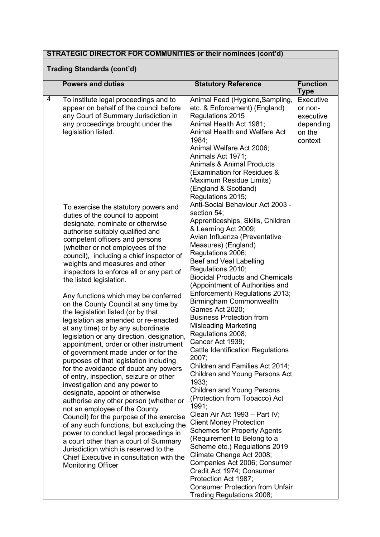### **Trading Standards (cont'd)**

|   | <b>Powers and duties</b>                                                                                                                                                                                                                                                                                                                                                                                                                                                                                                                                                                                                                                                                                                                                                                                                                                                                                                                                                                                                                                                                                                                                                                                                                                                                | <b>Statutory Reference</b>                                                                                                                                                                                                                                                                                                                                                                                                                                                                                                                                                                                                                                                                                                                                                                                                                                                                                                                                                                                                                                                                                                                                            | <b>Function</b><br><b>Type</b>                                      |  |
|---|-----------------------------------------------------------------------------------------------------------------------------------------------------------------------------------------------------------------------------------------------------------------------------------------------------------------------------------------------------------------------------------------------------------------------------------------------------------------------------------------------------------------------------------------------------------------------------------------------------------------------------------------------------------------------------------------------------------------------------------------------------------------------------------------------------------------------------------------------------------------------------------------------------------------------------------------------------------------------------------------------------------------------------------------------------------------------------------------------------------------------------------------------------------------------------------------------------------------------------------------------------------------------------------------|-----------------------------------------------------------------------------------------------------------------------------------------------------------------------------------------------------------------------------------------------------------------------------------------------------------------------------------------------------------------------------------------------------------------------------------------------------------------------------------------------------------------------------------------------------------------------------------------------------------------------------------------------------------------------------------------------------------------------------------------------------------------------------------------------------------------------------------------------------------------------------------------------------------------------------------------------------------------------------------------------------------------------------------------------------------------------------------------------------------------------------------------------------------------------|---------------------------------------------------------------------|--|
| 4 | To institute legal proceedings and to<br>appear on behalf of the council before<br>any Court of Summary Jurisdiction in<br>any proceedings brought under the<br>legislation listed.                                                                                                                                                                                                                                                                                                                                                                                                                                                                                                                                                                                                                                                                                                                                                                                                                                                                                                                                                                                                                                                                                                     | Animal Feed (Hygiene,Sampling,<br>etc. & Enforcement) (England)<br>Regulations 2015<br>Animal Health Act 1981;<br>Animal Health and Welfare Act<br>1984;<br>Animal Welfare Act 2006;<br>Animals Act 1971;<br><b>Animals &amp; Animal Products</b><br><b>Examination for Residues &amp;</b>                                                                                                                                                                                                                                                                                                                                                                                                                                                                                                                                                                                                                                                                                                                                                                                                                                                                            | Executive<br>or non-<br>executive<br>depending<br>on the<br>context |  |
|   | To exercise the statutory powers and<br>duties of the council to appoint<br>designate, nominate or otherwise<br>authorise suitably qualified and<br>competent officers and persons<br>(whether or not employees of the<br>council), including a chief inspector of<br>weights and measures and other<br>inspectors to enforce all or any part of<br>the listed legislation.<br>Any functions which may be conferred<br>on the County Council at any time by<br>the legislation listed (or by that<br>legislation as amended or re-enacted<br>at any time) or by any subordinate<br>legislation or any direction, designation,<br>appointment, order or other instrument<br>of government made under or for the<br>purposes of that legislation including<br>for the avoidance of doubt any powers<br>of entry, inspection, seizure or other<br>investigation and any power to<br>designate, appoint or otherwise<br>authorise any other person (whether or<br>not an employee of the County<br>Council) for the purpose of the exercise<br>of any such functions, but excluding the<br>power to conduct legal proceedings in<br>a court other than a court of Summary<br>Jurisdiction which is reserved to the<br>Chief Executive in consultation with the<br><b>Monitoring Officer</b> | Maximum Residue Limits)<br>(England & Scotland)<br>Regulations 2015;<br>Anti-Social Behaviour Act 2003 -<br>section 54;<br>Apprenticeships, Skills, Children<br>& Learning Act 2009;<br>Avian Influenza (Preventative<br>Measures) (England)<br>Regulations 2006;<br>Beef and Veal Labelling<br>Regulations 2010;<br><b>Biocidal Products and Chemicals</b><br>(Appointment of Authorities and<br>Enforcement) Regulations 2013;<br>Birmingham Commonwealth<br>Games Act 2020;<br><b>Business Protection from</b><br>Misleading Marketing<br>Regulations 2008;<br>Cancer Act 1939;<br><b>Cattle Identification Regulations</b><br>2007;<br>Children and Families Act 2014;<br>Children and Young Persons Act<br>1933:<br><b>Children and Young Persons</b><br>(Protection from Tobacco) Act<br>1991;<br>Clean Air Act 1993 - Part IV;<br><b>Client Money Protection</b><br><b>Schemes for Property Agents</b><br>(Requirement to Belong to a<br>Scheme etc.) Regulations 2019<br>Climate Change Act 2008;<br>Companies Act 2006; Consumer<br>Credit Act 1974; Consumer<br>Protection Act 1987;<br><b>Consumer Protection from Unfair</b><br>Trading Regulations 2008; |                                                                     |  |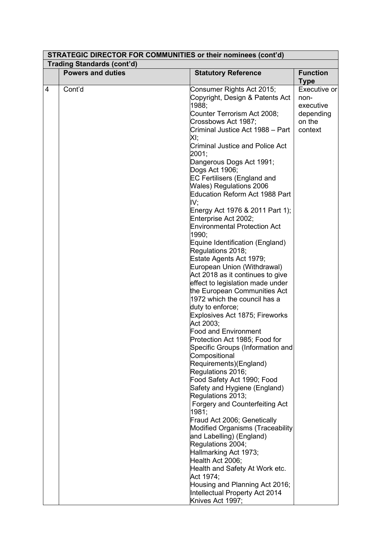| <b>STRATEGIC DIRECTOR FOR COMMUNITIES or their nominees (cont'd)</b> |                                   |                                                    |                                |  |
|----------------------------------------------------------------------|-----------------------------------|----------------------------------------------------|--------------------------------|--|
|                                                                      | <b>Trading Standards (cont'd)</b> |                                                    |                                |  |
|                                                                      | <b>Powers and duties</b>          | <b>Statutory Reference</b>                         | <b>Function</b><br><b>Type</b> |  |
| 4                                                                    | Cont'd                            | Consumer Rights Act 2015;                          | Executive or                   |  |
|                                                                      |                                   | Copyright, Design & Patents Act                    | non-                           |  |
|                                                                      |                                   | 1988;                                              | executive                      |  |
|                                                                      |                                   | Counter Terrorism Act 2008;                        | depending                      |  |
|                                                                      |                                   | Crossbows Act 1987;                                | on the                         |  |
|                                                                      |                                   | Criminal Justice Act 1988 - Part                   | context                        |  |
|                                                                      |                                   | XI:                                                |                                |  |
|                                                                      |                                   | <b>Criminal Justice and Police Act</b><br>2001;    |                                |  |
|                                                                      |                                   | Dangerous Dogs Act 1991;                           |                                |  |
|                                                                      |                                   | Dogs Act 1906;                                     |                                |  |
|                                                                      |                                   | <b>EC Fertilisers (England and</b>                 |                                |  |
|                                                                      |                                   | Wales) Regulations 2006                            |                                |  |
|                                                                      |                                   | Education Reform Act 1988 Part<br>IV;              |                                |  |
|                                                                      |                                   | Energy Act 1976 & 2011 Part 1);                    |                                |  |
|                                                                      |                                   | Enterprise Act 2002;                               |                                |  |
|                                                                      |                                   | <b>Environmental Protection Act</b>                |                                |  |
|                                                                      |                                   | 1990:                                              |                                |  |
|                                                                      |                                   | Equine Identification (England)                    |                                |  |
|                                                                      |                                   | Regulations 2018;                                  |                                |  |
|                                                                      |                                   | Estate Agents Act 1979;                            |                                |  |
|                                                                      |                                   | European Union (Withdrawal)                        |                                |  |
|                                                                      |                                   | Act 2018 as it continues to give                   |                                |  |
|                                                                      |                                   | effect to legislation made under                   |                                |  |
|                                                                      |                                   | the European Communities Act                       |                                |  |
|                                                                      |                                   | 1972 which the council has a                       |                                |  |
|                                                                      |                                   | duty to enforce;<br>Explosives Act 1875; Fireworks |                                |  |
|                                                                      |                                   | Act 2003;                                          |                                |  |
|                                                                      |                                   | <b>Food and Environment</b>                        |                                |  |
|                                                                      |                                   | Protection Act 1985; Food for                      |                                |  |
|                                                                      |                                   | Specific Groups (Information and                   |                                |  |
|                                                                      |                                   | Compositional                                      |                                |  |
|                                                                      |                                   | Requirements)(England)                             |                                |  |
|                                                                      |                                   | Regulations 2016;                                  |                                |  |
|                                                                      |                                   | Food Safety Act 1990; Food                         |                                |  |
|                                                                      |                                   | Safety and Hygiene (England)                       |                                |  |
|                                                                      |                                   | Regulations 2013;                                  |                                |  |
|                                                                      |                                   | <b>Forgery and Counterfeiting Act</b>              |                                |  |
|                                                                      |                                   | 1981;<br>Fraud Act 2006; Genetically               |                                |  |
|                                                                      |                                   | <b>Modified Organisms (Traceability</b>            |                                |  |
|                                                                      |                                   | and Labelling) (England)                           |                                |  |
|                                                                      |                                   | Regulations 2004;                                  |                                |  |
|                                                                      |                                   | Hallmarking Act 1973;                              |                                |  |
|                                                                      |                                   | Health Act 2006;                                   |                                |  |
|                                                                      |                                   | Health and Safety At Work etc.                     |                                |  |
|                                                                      |                                   | Act 1974;                                          |                                |  |
|                                                                      |                                   | Housing and Planning Act 2016;                     |                                |  |
|                                                                      |                                   | Intellectual Property Act 2014                     |                                |  |
|                                                                      |                                   | Knives Act 1997;                                   |                                |  |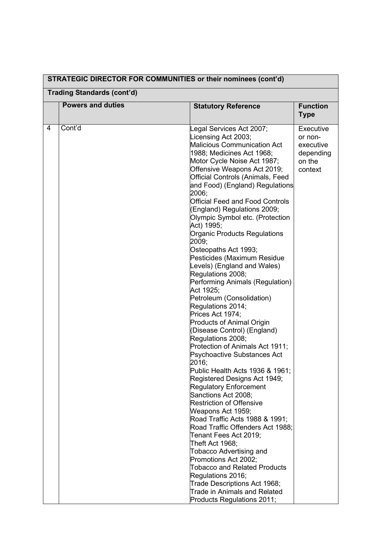| STRATEGIC DIRECTOR FOR COMMONITIES OF their nominees (CONTO) |                                   |                                                                                                                                                                                                                                                                                                                                                                                                                                                                                                                                                                                                                                                                                                                                                                                                                                                                                                                                                                                                                                                                                                                                                                                                                                                                                                                                                                  |                                                                     |  |
|--------------------------------------------------------------|-----------------------------------|------------------------------------------------------------------------------------------------------------------------------------------------------------------------------------------------------------------------------------------------------------------------------------------------------------------------------------------------------------------------------------------------------------------------------------------------------------------------------------------------------------------------------------------------------------------------------------------------------------------------------------------------------------------------------------------------------------------------------------------------------------------------------------------------------------------------------------------------------------------------------------------------------------------------------------------------------------------------------------------------------------------------------------------------------------------------------------------------------------------------------------------------------------------------------------------------------------------------------------------------------------------------------------------------------------------------------------------------------------------|---------------------------------------------------------------------|--|
|                                                              | <b>Trading Standards (cont'd)</b> |                                                                                                                                                                                                                                                                                                                                                                                                                                                                                                                                                                                                                                                                                                                                                                                                                                                                                                                                                                                                                                                                                                                                                                                                                                                                                                                                                                  |                                                                     |  |
|                                                              | <b>Powers and duties</b>          | <b>Statutory Reference</b>                                                                                                                                                                                                                                                                                                                                                                                                                                                                                                                                                                                                                                                                                                                                                                                                                                                                                                                                                                                                                                                                                                                                                                                                                                                                                                                                       | <b>Function</b><br><b>Type</b>                                      |  |
| 4                                                            | Cont'd                            | Legal Services Act 2007;<br>Licensing Act 2003;<br><b>Malicious Communication Act</b><br>1988; Medicines Act 1968;<br>Motor Cycle Noise Act 1987;<br>Offensive Weapons Act 2019;<br>Official Controls (Animals, Feed<br>and Food) (England) Regulations<br>2006;<br><b>Official Feed and Food Controls</b><br>(England) Regulations 2009;<br>Olympic Symbol etc. (Protection<br>Act) 1995;<br>Organic Products Regulations<br>2009;<br>Osteopaths Act 1993;<br>Pesticides (Maximum Residue<br>Levels) (England and Wales)<br>Regulations 2008;<br>Performing Animals (Regulation)<br>Act 1925;<br>Petroleum (Consolidation)<br>Regulations 2014;<br>Prices Act 1974;<br><b>Products of Animal Origin</b><br>(Disease Control) (England)<br>Regulations 2008;<br>Protection of Animals Act 1911;<br>Psychoactive Substances Act<br>2016;<br>Public Health Acts 1936 & 1961;<br>Registered Designs Act 1949;<br><b>Regulatory Enforcement</b><br>Sanctions Act 2008;<br><b>Restriction of Offensive</b><br>Weapons Act 1959;<br>Road Traffic Acts 1988 & 1991;<br>Road Traffic Offenders Act 1988;<br>Tenant Fees Act 2019;<br>Theft Act 1968;<br>Tobacco Advertising and<br>Promotions Act 2002;<br><b>Tobacco and Related Products</b><br>Regulations 2016;<br>Trade Descriptions Act 1968;<br><b>Trade in Animals and Related</b><br>Products Regulations 2011; | Executive<br>or non-<br>executive<br>depending<br>on the<br>context |  |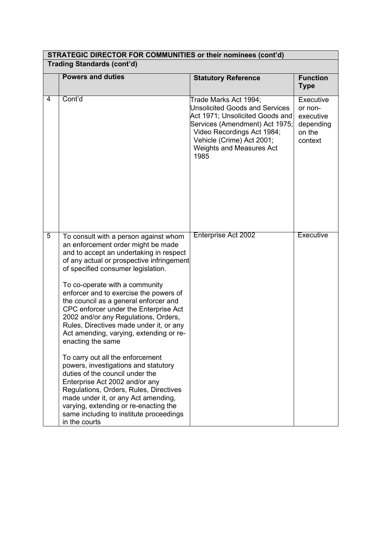| <b>STRATEGIC DIRECTOR FOR COMMUNITIES or their nominees (cont'd)</b> |                                                                                                                                                                                                                                                                                                                                                                                                                                                                                                                                                                                                                                                                                                                                                                                                                                                                   |                                                                                                                                                                                                                                           |                                                                     |  |
|----------------------------------------------------------------------|-------------------------------------------------------------------------------------------------------------------------------------------------------------------------------------------------------------------------------------------------------------------------------------------------------------------------------------------------------------------------------------------------------------------------------------------------------------------------------------------------------------------------------------------------------------------------------------------------------------------------------------------------------------------------------------------------------------------------------------------------------------------------------------------------------------------------------------------------------------------|-------------------------------------------------------------------------------------------------------------------------------------------------------------------------------------------------------------------------------------------|---------------------------------------------------------------------|--|
|                                                                      | <b>Trading Standards (cont'd)</b>                                                                                                                                                                                                                                                                                                                                                                                                                                                                                                                                                                                                                                                                                                                                                                                                                                 |                                                                                                                                                                                                                                           |                                                                     |  |
|                                                                      | <b>Powers and duties</b>                                                                                                                                                                                                                                                                                                                                                                                                                                                                                                                                                                                                                                                                                                                                                                                                                                          | <b>Statutory Reference</b>                                                                                                                                                                                                                | <b>Function</b><br><b>Type</b>                                      |  |
| 4                                                                    | Cont'd                                                                                                                                                                                                                                                                                                                                                                                                                                                                                                                                                                                                                                                                                                                                                                                                                                                            | Trade Marks Act 1994;<br><b>Unsolicited Goods and Services</b><br>Act 1971; Unsolicited Goods and<br>Services (Amendment) Act 1975;<br>Video Recordings Act 1984;<br>Vehicle (Crime) Act 2001;<br><b>Weights and Measures Act</b><br>1985 | Executive<br>or non-<br>executive<br>depending<br>on the<br>context |  |
| $\overline{5}$                                                       | To consult with a person against whom<br>an enforcement order might be made<br>and to accept an undertaking in respect<br>of any actual or prospective infringement<br>of specified consumer legislation.<br>To co-operate with a community<br>enforcer and to exercise the powers of<br>the council as a general enforcer and<br>CPC enforcer under the Enterprise Act<br>2002 and/or any Regulations, Orders,<br>Rules, Directives made under it, or any<br>Act amending, varying, extending or re-<br>enacting the same<br>To carry out all the enforcement<br>powers, investigations and statutory<br>duties of the council under the<br>Enterprise Act 2002 and/or any<br>Regulations, Orders, Rules, Directives<br>made under it, or any Act amending,<br>varying, extending or re-enacting the<br>same including to institute proceedings<br>in the courts | <b>Enterprise Act 2002</b>                                                                                                                                                                                                                | Executive                                                           |  |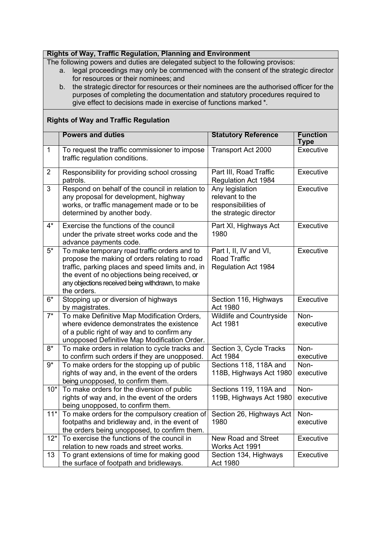#### **Rights of Way, Traffic Regulation, Planning and Environment**

The following powers and duties are delegated subject to the following provisos:

- a. legal proceedings may only be commenced with the consent of the strategic director for resources or their nominees; and
- b. the strategic director for resources or their nominees are the authorised officer for the purposes of completing the documentation and statutory procedures required to give effect to decisions made in exercise of functions marked \*.

#### **Rights of Way and Traffic Regulation**

|                | <b>Powers and duties</b>                                                                 | <b>Statutory Reference</b>           | <b>Function</b> |
|----------------|------------------------------------------------------------------------------------------|--------------------------------------|-----------------|
|                |                                                                                          |                                      | Type            |
| $\mathbf{1}$   | To request the traffic commissioner to impose<br>traffic regulation conditions.          | Transport Act 2000                   | Executive       |
|                |                                                                                          |                                      |                 |
| $\overline{2}$ | Responsibility for providing school crossing                                             | Part III, Road Traffic               | Executive       |
|                | patrols.                                                                                 | <b>Regulation Act 1984</b>           |                 |
| 3              | Respond on behalf of the council in relation to                                          | Any legislation                      | Executive       |
|                | any proposal for development, highway                                                    | relevant to the                      |                 |
|                | works, or traffic management made or to be<br>determined by another body.                | responsibilities of                  |                 |
|                |                                                                                          | the strategic director               |                 |
| $4^*$          | Exercise the functions of the council                                                    | Part XI, Highways Act                | Executive       |
|                | under the private street works code and the                                              | 1980                                 |                 |
|                | advance payments code.                                                                   |                                      |                 |
| $5*$           | To make temporary road traffic orders and to                                             | Part I, II, IV and VI,               | Executive       |
|                | propose the making of orders relating to road                                            | <b>Road Traffic</b>                  |                 |
|                | traffic, parking places and speed limits and, in                                         | <b>Regulation Act 1984</b>           |                 |
|                | the event of no objections being received, or                                            |                                      |                 |
|                | any objections received being withdrawn, to make                                         |                                      |                 |
|                | the orders.                                                                              |                                      |                 |
| $6*$           | Stopping up or diversion of highways                                                     | Section 116, Highways                | Executive       |
| $7^*$          | by magistrates.                                                                          | Act 1980                             | Non-            |
|                | To make Definitive Map Modification Orders,<br>where evidence demonstrates the existence | Wildlife and Countryside<br>Act 1981 | executive       |
|                | of a public right of way and to confirm any                                              |                                      |                 |
|                | unopposed Definitive Map Modification Order.                                             |                                      |                 |
| $8*$           | To make orders in relation to cycle tracks and                                           | Section 3, Cycle Tracks              | Non-            |
|                | to confirm such orders if they are unopposed.                                            | Act 1984                             | executive       |
| $9*$           | To make orders for the stopping up of public                                             | Sections 118, 118A and               | Non-            |
|                | rights of way and, in the event of the orders                                            | 118B, Highways Act 1980              | executive       |
|                | being unopposed, to confirm them.                                                        |                                      |                 |
| $10*$          | To make orders for the diversion of public                                               | Sections 119, 119A and               | Non-            |
|                | rights of way and, in the event of the orders                                            | 119B, Highways Act 1980              | executive       |
|                | being unopposed, to confirm them.                                                        |                                      |                 |
| $11*$          | To make orders for the compulsory creation of Section 26, Highways Act Non-              |                                      |                 |
|                | footpaths and bridleway and, in the event of                                             | 1980                                 | executive       |
|                | the orders being unopposed, to confirm them.                                             |                                      |                 |
| $12*$          | To exercise the functions of the council in                                              | New Road and Street                  | Executive       |
|                | relation to new roads and street works.                                                  | Works Act 1991                       |                 |
| 13             | To grant extensions of time for making good                                              | Section 134, Highways                | Executive       |
|                | the surface of footpath and bridleways.                                                  | Act 1980                             |                 |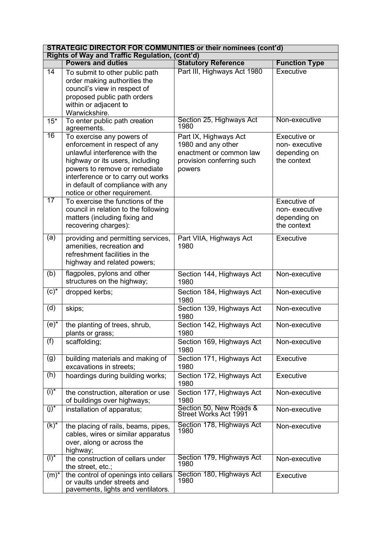| <b>STRATEGIC DIRECTOR FOR COMMUNITIES or their nominees (cont'd)</b> |                                                                                                                                                                                                                                                                             |                                                                                                               |                                                              |
|----------------------------------------------------------------------|-----------------------------------------------------------------------------------------------------------------------------------------------------------------------------------------------------------------------------------------------------------------------------|---------------------------------------------------------------------------------------------------------------|--------------------------------------------------------------|
|                                                                      | Rights of Way and Traffic Regulation, (cont'd)                                                                                                                                                                                                                              |                                                                                                               |                                                              |
|                                                                      | <b>Powers and duties</b>                                                                                                                                                                                                                                                    | <b>Statutory Reference</b>                                                                                    | <b>Function Type</b>                                         |
| $\overline{14}$                                                      | To submit to other public path<br>order making authorities the<br>council's view in respect of<br>proposed public path orders<br>within or adjacent to<br>Warwickshire.                                                                                                     | Part III, Highways Act 1980                                                                                   | <b>Executive</b>                                             |
| $15*$                                                                | To enter public path creation<br>agreements.                                                                                                                                                                                                                                | Section 25, Highways Act<br>1980                                                                              | Non-executive                                                |
| 16                                                                   | To exercise any powers of<br>enforcement in respect of any<br>unlawful interference with the<br>highway or its users, including<br>powers to remove or remediate<br>interference or to carry out works<br>in default of compliance with any<br>notice or other requirement. | Part IX, Highways Act<br>1980 and any other<br>enactment or common law<br>provision conferring such<br>powers | Executive or<br>non-executive<br>depending on<br>the context |
| 17                                                                   | To exercise the functions of the<br>council in relation to the following<br>matters (including fixing and<br>recovering charges):                                                                                                                                           |                                                                                                               | Executive of<br>non-executive<br>depending on<br>the context |
| (a)                                                                  | providing and permitting services,<br>amenities, recreation and<br>refreshment facilities in the<br>highway and related powers;                                                                                                                                             | Part VIIA, Highways Act<br>1980                                                                               | Executive                                                    |
| (b)                                                                  | flagpoles, pylons and other<br>structures on the highway;                                                                                                                                                                                                                   | Section 144, Highways Act<br>1980                                                                             | Non-executive                                                |
| $(c)$ *                                                              | dropped kerbs;                                                                                                                                                                                                                                                              | Section 184, Highways Act<br>1980                                                                             | Non-executive                                                |
| (d)                                                                  | skips;                                                                                                                                                                                                                                                                      | Section 139, Highways Act<br>1980                                                                             | Non-executive                                                |
| $(e)^*$                                                              | the planting of trees, shrub,<br>plants or grass;                                                                                                                                                                                                                           | Section 142, Highways Act<br>1980                                                                             | Non-executive                                                |
| (f)                                                                  | scaffolding;                                                                                                                                                                                                                                                                | Section 169, Highways Act<br>1980                                                                             | Non-executive                                                |
| (g)                                                                  | building materials and making of<br>excavations in streets;                                                                                                                                                                                                                 | Section 171, Highways Act<br>1980                                                                             | Executive                                                    |
| (h)                                                                  | hoardings during building works;                                                                                                                                                                                                                                            | Section 172, Highways Act<br>1980                                                                             | Executive                                                    |
| $(i)^*$                                                              | the construction, alteration or use<br>of buildings over highways;                                                                                                                                                                                                          | Section 177, Highways Act<br>1980                                                                             | Non-executive                                                |
| $(j)^*$                                                              | installation of apparatus;                                                                                                                                                                                                                                                  | Section 50, New Roads &<br><b>Street Works Act 1991</b>                                                       | Non-executive                                                |
| $(k)^*$                                                              | the placing of rails, beams, pipes,<br>cables, wires or similar apparatus<br>over, along or across the<br>highway;                                                                                                                                                          | Section 178, Highways Act<br>1980                                                                             | Non-executive                                                |
| $(1)^*$                                                              | the construction of cellars under<br>the street, etc.;                                                                                                                                                                                                                      | Section 179, Highways Act<br>1980                                                                             | Non-executive                                                |
| $(m)^*$                                                              | the control of openings into cellars<br>or vaults under streets and<br>pavements, lights and ventilators.                                                                                                                                                                   | Section 180, Highways Act<br>1980                                                                             | Executive                                                    |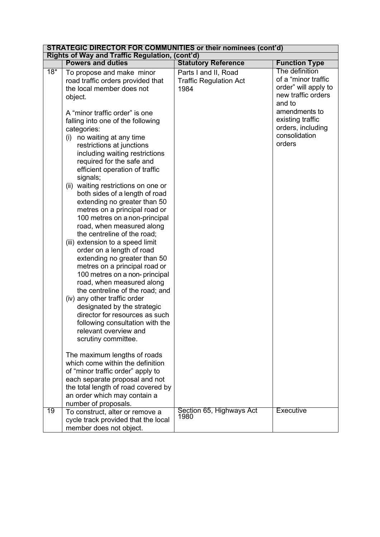| <b>STRATEGIC DIRECTOR FOR COMMUNITIES or their nominees (cont'd)</b> |                                                                                                                                                                                                                                                                                                                                                                                                                                                                                                                                                                                                                                                                                                                                                                                               |                                                                                             |                                                                                                                                                                                                            |
|----------------------------------------------------------------------|-----------------------------------------------------------------------------------------------------------------------------------------------------------------------------------------------------------------------------------------------------------------------------------------------------------------------------------------------------------------------------------------------------------------------------------------------------------------------------------------------------------------------------------------------------------------------------------------------------------------------------------------------------------------------------------------------------------------------------------------------------------------------------------------------|---------------------------------------------------------------------------------------------|------------------------------------------------------------------------------------------------------------------------------------------------------------------------------------------------------------|
|                                                                      |                                                                                                                                                                                                                                                                                                                                                                                                                                                                                                                                                                                                                                                                                                                                                                                               |                                                                                             |                                                                                                                                                                                                            |
|                                                                      |                                                                                                                                                                                                                                                                                                                                                                                                                                                                                                                                                                                                                                                                                                                                                                                               |                                                                                             |                                                                                                                                                                                                            |
| $18*$                                                                | Rights of Way and Traffic Regulation, (cont'd)<br><b>Powers and duties</b><br>To propose and make minor<br>road traffic orders provided that<br>the local member does not<br>object.<br>A "minor traffic order" is one<br>falling into one of the following<br>categories:<br>no waiting at any time<br>(i)<br>restrictions at junctions<br>including waiting restrictions<br>required for the safe and<br>efficient operation of traffic<br>signals;<br>(ii) waiting restrictions on one or<br>both sides of a length of road<br>extending no greater than 50<br>metres on a principal road or<br>100 metres on a non-principal<br>road, when measured along<br>the centreline of the road;<br>(iii) extension to a speed limit<br>order on a length of road<br>extending no greater than 50 | <b>Statutory Reference</b><br>Parts I and II, Road<br><b>Traffic Regulation Act</b><br>1984 | <b>Function Type</b><br>The definition<br>of a "minor traffic<br>order" will apply to<br>new traffic orders<br>and to<br>amendments to<br>existing traffic<br>orders, including<br>consolidation<br>orders |
|                                                                      | metres on a principal road or<br>100 metres on a non-principal<br>road, when measured along<br>the centreline of the road; and<br>(iv) any other traffic order<br>designated by the strategic<br>director for resources as such<br>following consultation with the<br>relevant overview and<br>scrutiny committee.                                                                                                                                                                                                                                                                                                                                                                                                                                                                            |                                                                                             |                                                                                                                                                                                                            |
|                                                                      | The maximum lengths of roads<br>which come within the definition<br>of "minor traffic order" apply to<br>each separate proposal and not<br>the total length of road covered by<br>an order which may contain a<br>number of proposals.                                                                                                                                                                                                                                                                                                                                                                                                                                                                                                                                                        |                                                                                             |                                                                                                                                                                                                            |
| 19                                                                   | To construct, alter or remove a<br>cycle track provided that the local<br>member does not object.                                                                                                                                                                                                                                                                                                                                                                                                                                                                                                                                                                                                                                                                                             | Section 65, Highways Act<br>1980                                                            | <b>Executive</b>                                                                                                                                                                                           |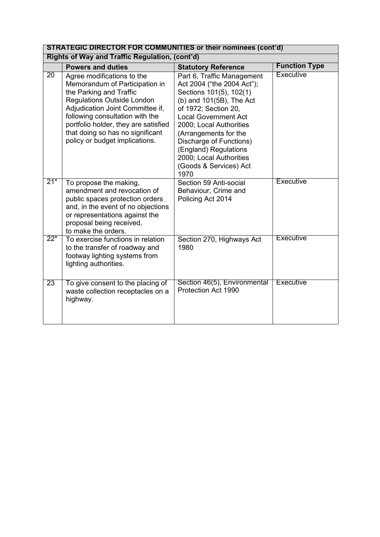|                 | <b>STRATEGIC DIRECTOR FOR COMMUNITIES or their nominees (cont'd)</b>                                                                                                                                                                                                                                              |                                                                                                                                                                                                                                                                                                                                             |                      |  |
|-----------------|-------------------------------------------------------------------------------------------------------------------------------------------------------------------------------------------------------------------------------------------------------------------------------------------------------------------|---------------------------------------------------------------------------------------------------------------------------------------------------------------------------------------------------------------------------------------------------------------------------------------------------------------------------------------------|----------------------|--|
|                 | Rights of Way and Traffic Regulation, (cont'd)                                                                                                                                                                                                                                                                    |                                                                                                                                                                                                                                                                                                                                             |                      |  |
|                 | <b>Powers and duties</b>                                                                                                                                                                                                                                                                                          | <b>Statutory Reference</b>                                                                                                                                                                                                                                                                                                                  | <b>Function Type</b> |  |
| $\overline{20}$ | Agree modifications to the<br>Memorandum of Participation in<br>the Parking and Traffic<br><b>Regulations Outside London</b><br>Adjudication Joint Committee if,<br>following consultation with the<br>portfolio holder, they are satisfied<br>that doing so has no significant<br>policy or budget implications. | Part 6, Traffic Management<br>Act 2004 ("the 2004 Act");<br>Sections 101(5), 102(1)<br>(b) and 101(5B), The Act<br>of 1972; Section 20,<br><b>Local Government Act</b><br>2000; Local Authorities<br>(Arrangements for the<br>Discharge of Functions)<br>(England) Regulations<br>2000; Local Authorities<br>(Goods & Services) Act<br>1970 | Executive            |  |
| $21*$           | To propose the making,<br>amendment and revocation of<br>public spaces protection orders<br>and, in the event of no objections<br>or representations against the<br>proposal being received,<br>to make the orders.                                                                                               | Section 59 Anti-social<br>Behaviour, Crime and<br>Policing Act 2014                                                                                                                                                                                                                                                                         | <b>Executive</b>     |  |
| $22^{*}$        | To exercise functions in relation<br>to the transfer of roadway and<br>footway lighting systems from<br>lighting authorities.                                                                                                                                                                                     | Section 270, Highways Act<br>1980                                                                                                                                                                                                                                                                                                           | <b>Executive</b>     |  |
| 23              | To give consent to the placing of<br>waste collection receptacles on a<br>highway.                                                                                                                                                                                                                                | Section 46(5), Environmental<br>Protection Act 1990                                                                                                                                                                                                                                                                                         | <b>Executive</b>     |  |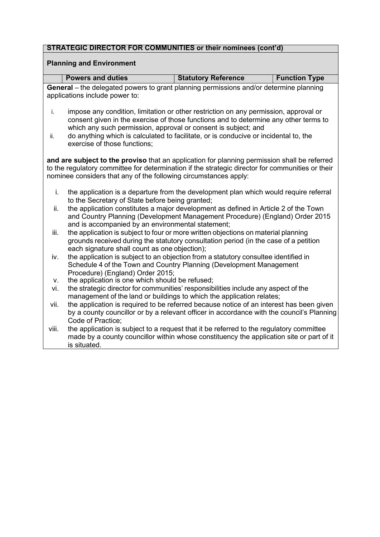#### **Planning and Environment**

| <b>Powers and duties</b> | <b>Statutory Reference</b> | <b>Function Type</b> |
|--------------------------|----------------------------|----------------------|
|                          |                            |                      |

**General** – the delegated powers to grant planning permissions and/or determine planning applications include power to:

- i. impose any condition, limitation or other restriction on any permission, approval or consent given in the exercise of those functions and to determine any other terms to which any such permission, approval or consent is subject; and
- ii. do anything which is calculated to facilitate, or is conducive or incidental to, the exercise of those functions;

**and are subject to the proviso** that an application for planning permission shall be referred to the regulatory committee for determination if the strategic director for communities or their nominee considers that any of the following circumstances apply:

- i. the application is a departure from the development plan which would require referral to the Secretary of State before being granted:
- ii. the application constitutes a major development as defined in Article 2 of the Town and Country Planning (Development Management Procedure) (England) Order 2015 and is accompanied by an environmental statement;
- iii. the application is subject to four or more written objections on material planning grounds received during the statutory consultation period (in the case of a petition each signature shall count as one objection):
- iv. the application is subject to an objection from a statutory consultee identified in Schedule 4 of the Town and Country Planning (Development Management Procedure) (England) Order 2015;
- v. the application is one which should be refused;
- vi. the strategic director for communities' responsibilities include any aspect of the management of the land or buildings to which the application relates;
- vii. the application is required to be referred because notice of an interest has been given by a county councillor or by a relevant officer in accordance with the council's Planning Code of Practice;
- viii. the application is subject to a request that it be referred to the regulatory committee made by a county councillor within whose constituency the application site or part of it is situated.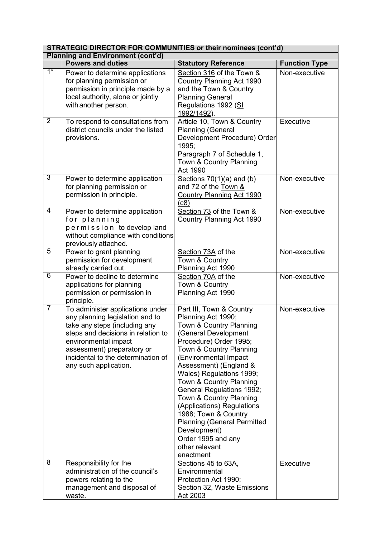| <b>STRATEGIC DIRECTOR FOR COMMUNITIES or their nominees (cont'd)</b> |                                                                                                                                                                                                                                                                 |                                                                                                                                                                                                                                                                                                                                                                                                                                                                                           |                      |
|----------------------------------------------------------------------|-----------------------------------------------------------------------------------------------------------------------------------------------------------------------------------------------------------------------------------------------------------------|-------------------------------------------------------------------------------------------------------------------------------------------------------------------------------------------------------------------------------------------------------------------------------------------------------------------------------------------------------------------------------------------------------------------------------------------------------------------------------------------|----------------------|
|                                                                      | <b>Planning and Environment (cont'd)</b>                                                                                                                                                                                                                        |                                                                                                                                                                                                                                                                                                                                                                                                                                                                                           |                      |
|                                                                      | <b>Powers and duties</b>                                                                                                                                                                                                                                        | <b>Statutory Reference</b>                                                                                                                                                                                                                                                                                                                                                                                                                                                                | <b>Function Type</b> |
| $1^*$                                                                | Power to determine applications<br>for planning permission or<br>permission in principle made by a<br>local authority, alone or jointly<br>with another person.                                                                                                 | Section 316 of the Town &<br><b>Country Planning Act 1990</b><br>and the Town & Country<br><b>Planning General</b><br>Regulations 1992 (SI<br>1992/1492).                                                                                                                                                                                                                                                                                                                                 | Non-executive        |
| $\overline{2}$                                                       | To respond to consultations from<br>district councils under the listed<br>provisions.                                                                                                                                                                           | Article 10, Town & Country<br><b>Planning (General</b><br>Development Procedure) Order<br>1995;<br>Paragraph 7 of Schedule 1,<br>Town & Country Planning<br>Act 1990                                                                                                                                                                                                                                                                                                                      | Executive            |
| $\overline{3}$                                                       | Power to determine application<br>for planning permission or<br>permission in principle.                                                                                                                                                                        | Sections $70(1)(a)$ and (b)<br>and 72 of the Town &<br><b>Country Planning Act 1990</b><br>(c8)                                                                                                                                                                                                                                                                                                                                                                                           | Non-executive        |
| $\overline{4}$                                                       | Power to determine application<br>for planning<br>permission to develop land<br>without compliance with conditions<br>previously attached.                                                                                                                      | Section 73 of the Town &<br>Country Planning Act 1990                                                                                                                                                                                                                                                                                                                                                                                                                                     | Non-executive        |
| 5                                                                    | Power to grant planning<br>permission for development<br>already carried out.                                                                                                                                                                                   | Section 73A of the<br>Town & Country<br>Planning Act 1990                                                                                                                                                                                                                                                                                                                                                                                                                                 | Non-executive        |
| 6                                                                    | Power to decline to determine<br>applications for planning<br>permission or permission in<br>principle.                                                                                                                                                         | Section 70A of the<br>Town & Country<br>Planning Act 1990                                                                                                                                                                                                                                                                                                                                                                                                                                 | Non-executive        |
| $\overline{7}$                                                       | To administer applications under<br>any planning legislation and to<br>take any steps (including any<br>steps and decisions in relation to<br>environmental impact<br>assessment) preparatory or<br>incidental to the determination of<br>any such application. | Part III, Town & Country<br>Planning Act 1990;<br>Town & Country Planning<br>(General Development<br>Procedure) Order 1995;<br>Town & Country Planning<br>(Environmental Impact<br>Assessment) (England &<br>Wales) Regulations 1999;<br>Town & Country Planning<br>General Regulations 1992;<br>Town & Country Planning<br>(Applications) Regulations<br>1988; Town & Country<br><b>Planning (General Permitted</b><br>Development)<br>Order 1995 and any<br>other relevant<br>enactment | Non-executive        |
| $\overline{8}$                                                       | Responsibility for the<br>administration of the council's<br>powers relating to the<br>management and disposal of<br>waste.                                                                                                                                     | Sections 45 to 63A,<br>Environmental<br>Protection Act 1990;<br>Section 32, Waste Emissions<br>Act 2003                                                                                                                                                                                                                                                                                                                                                                                   | Executive            |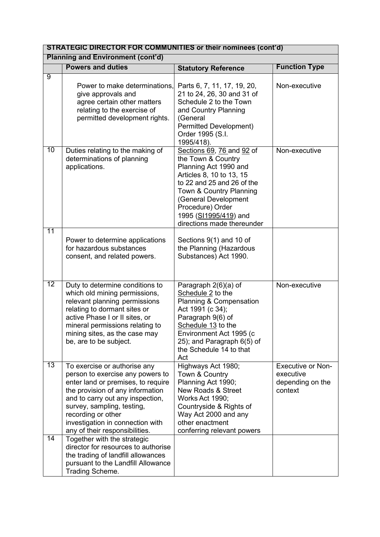| <b>STRATEGIC DIRECTOR FOR COMMUNITIES or their nominees (cont'd)</b> |                                                                                                                                                                                                                                                                                                          |                                                                                                                                                                                                                                                                  |                                                                      |
|----------------------------------------------------------------------|----------------------------------------------------------------------------------------------------------------------------------------------------------------------------------------------------------------------------------------------------------------------------------------------------------|------------------------------------------------------------------------------------------------------------------------------------------------------------------------------------------------------------------------------------------------------------------|----------------------------------------------------------------------|
|                                                                      | <b>Planning and Environment (cont'd)</b>                                                                                                                                                                                                                                                                 |                                                                                                                                                                                                                                                                  |                                                                      |
|                                                                      | <b>Powers and duties</b>                                                                                                                                                                                                                                                                                 | <b>Statutory Reference</b>                                                                                                                                                                                                                                       | <b>Function Type</b>                                                 |
| 9                                                                    | Power to make determinations,<br>give approvals and<br>agree certain other matters<br>relating to the exercise of<br>permitted development rights.                                                                                                                                                       | Parts 6, 7, 11, 17, 19, 20,<br>21 to 24, 26, 30 and 31 of<br>Schedule 2 to the Town<br>and Country Planning<br>(General<br><b>Permitted Development)</b><br>Order 1995 (S.I.<br>1995/418).                                                                       | Non-executive                                                        |
| $\overline{10}$                                                      | Duties relating to the making of<br>determinations of planning<br>applications.                                                                                                                                                                                                                          | Sections 69, 76 and 92 of<br>the Town & Country<br>Planning Act 1990 and<br>Articles 8, 10 to 13, 15<br>to 22 and 25 and 26 of the<br>Town & Country Planning<br>(General Development<br>Procedure) Order<br>1995 (SI1995/419) and<br>directions made thereunder | Non-executive                                                        |
| 11                                                                   | Power to determine applications<br>for hazardous substances<br>consent, and related powers.                                                                                                                                                                                                              | Sections $9(1)$ and 10 of<br>the Planning (Hazardous<br>Substances) Act 1990.                                                                                                                                                                                    |                                                                      |
| $\overline{12}$                                                      | Duty to determine conditions to<br>which old mining permissions,<br>relevant planning permissions<br>relating to dormant sites or<br>active Phase I or II sites, or<br>mineral permissions relating to<br>mining sites, as the case may<br>be, are to be subject.                                        | Paragraph 2(6)(a) of<br>Schedule 2 to the<br><b>Planning &amp; Compensation</b><br>Act 1991 (c 34);<br>Paragraph 9(6) of<br>Schedule 13 to the<br>Environment Act 1995 (c<br>25); and Paragraph 6(5) of<br>the Schedule 14 to that<br>Act                        | Non-executive                                                        |
| 13                                                                   | To exercise or authorise any<br>person to exercise any powers to<br>enter land or premises, to require<br>the provision of any information<br>and to carry out any inspection,<br>survey, sampling, testing,<br>recording or other<br>investigation in connection with<br>any of their responsibilities. | Highways Act 1980;<br>Town & Country<br>Planning Act 1990;<br><b>New Roads &amp; Street</b><br><b>Works Act 1990;</b><br>Countryside & Rights of<br>Way Act 2000 and any<br>other enactment<br>conferring relevant powers                                        | <b>Executive or Non-</b><br>executive<br>depending on the<br>context |
| $\overline{14}$                                                      | Together with the strategic<br>director for resources to authorise<br>the trading of landfill allowances<br>pursuant to the Landfill Allowance<br>Trading Scheme.                                                                                                                                        |                                                                                                                                                                                                                                                                  |                                                                      |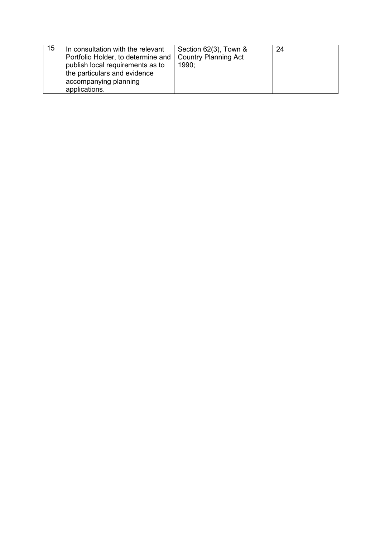| 15 | In consultation with the relevant<br>Portfolio Holder, to determine and   Country Planning Act<br>publish local requirements as to<br>the particulars and evidence<br>accompanying planning | Section $62(3)$ , Town &<br>1990: | 24 |
|----|---------------------------------------------------------------------------------------------------------------------------------------------------------------------------------------------|-----------------------------------|----|
|    | applications.                                                                                                                                                                               |                                   |    |